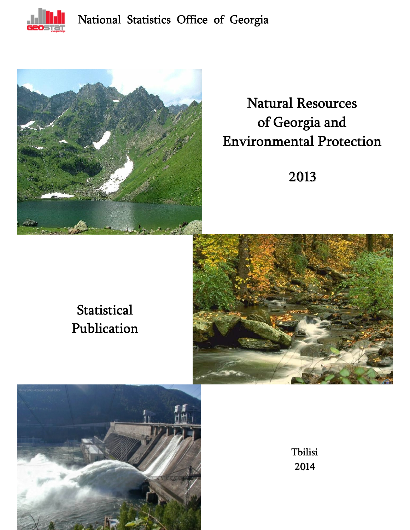



# Natural Resources of Georgia and Environmental Protection

2013

# **Statistical** Publication





Tbilisi 2014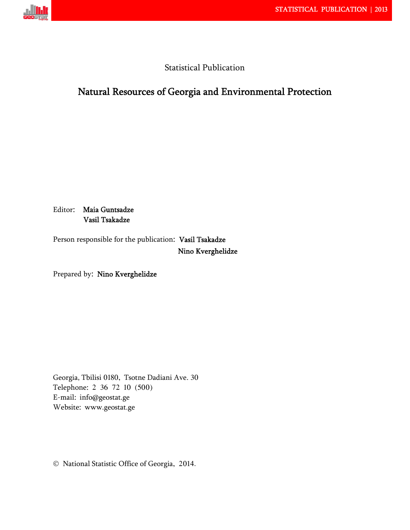

# Statistical Publication

# Natural Resources of Georgia and Environmental Protection

Editor: Maia Guntsadze Vasil Tsakadze

Person responsible for the publication: Vasil Tsakadze Nino Kverghelidze

Prepared by: Nino Kverghelidze

Georgia, Tbilisi 0180, Tsotne Dadiani Ave. 30 Telephone: 2 36 72 10 (500) E-mail: info@geostat.ge Website: www.geostat.ge

National Statistic Office of Georgia, 2014.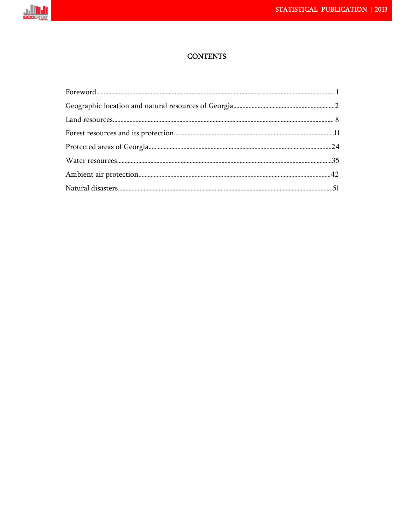

# **CONTENTS**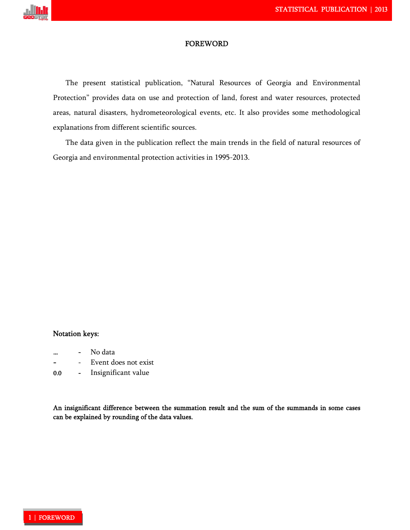

#### **FOREWORD**

The present statistical publication, "Natural Resources of Georgia and Environmental Protection" provides data on use and protection of land, forest and water resources, protected areas, natural disasters, hydrometeorological events, etc. It also provides some methodological explanations from different scientific sources.

The data given in the publication reflect the main trends in the field of natural resources of Georgia and environmental protection activities in 1995-2013.

### Notation keys:

- No data
- Event does not exist
- 0.0 Insignificant value

An insignificant difference between the summation result and the sum of the summands in some cases can be explained by rounding of the data values.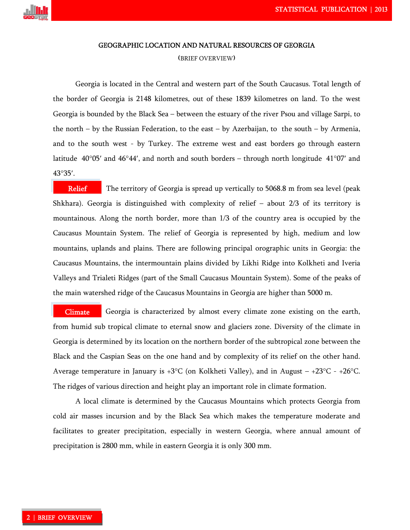

#### GEOGRAPHIC LOCATION AND NATURAL RESOURCES OF GEORGIA

#### (BRIEF OVERVIEW)

Georgia is located in the Central and western part of the South Caucasus. Total length of the border of Georgia is 2148 kilometres, out of these 1839 kilometres on land. To the west Georgia is bounded by the Black Sea – between the estuary of the river Psou and village Sarpi, to the north – by the Russian Federation, to the east – by Azerbaijan, to the south – by Armenia, and to the south west - by Turkey. The extreme west and east borders go through eastern latitude 40 $\degree$ 05' and 46 $\degree$ 44', and north and south borders – through north longitude 41 $\degree$ 07' and 43°35'.

 The territory of Georgia is spread up vertically to 5068.8 m from sea level (peak Shkhara). Georgia is distinguished with complexity of relief – about 2/3 of its territory is mountainous. Along the north border, more than 1/3 of the country area is occupied by the Caucasus Mountain System. The relief of Georgia is represented by high, medium and low mountains, uplands and plains. There are following principal orographic units in Georgia: the Caucasus Mountains, the intermountain plains divided by Likhi Ridge into Kolkheti and Iveria Valleys and Trialeti Ridges (part of the Small Caucasus Mountain System). Some of the peaks of the main watershed ridge of the Caucasus Mountains in Georgia are higher than 5000 m. Relief

 Georgia is characterized by almost every climate zone existing on the earth, from humid sub tropical climate to eternal snow and glaciers zone. Diversity of the climate in Georgia is determined by its location on the northern border of the subtropical zone between the Black and the Caspian Seas on the one hand and by complexity of its relief on the other hand. Average temperature in January is  $+3^{\circ}C$  (on Kolkheti Valley), and in August –  $+23^{\circ}C - +26^{\circ}C$ . The ridges of various direction and height play an important role in climate formation. Climate

A local climate is determined by the Caucasus Mountains which protects Georgia from cold air masses incursion and by the Black Sea which makes the temperature moderate and facilitates to greater precipitation, especially in western Georgia, where annual amount of precipitation is 2800 mm, while in eastern Georgia it is only 300 mm.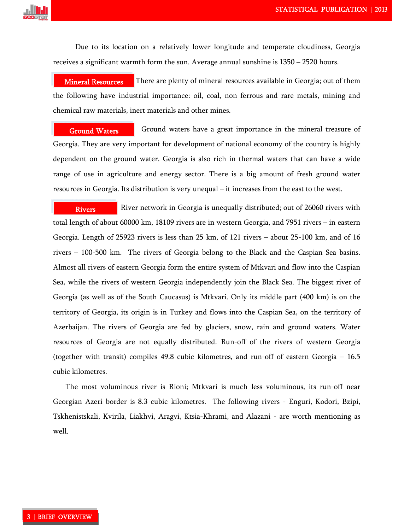

Due to its location on a relatively lower longitude and temperate cloudiness, Georgia receives a significant warmth form the sun. Average annual sunshine is 1350 – 2520 hours.

 There are plenty of mineral resources available in Georgia; out of them the following have industrial importance: oil, coal, non ferrous and rare metals, mining and chemical raw materials, inert materials and other mines. Mineral Resources

 Ground waters have a great importance in the mineral treasure of Georgia. They are very important for development of national economy of the country is highly dependent on the ground water. Georgia is also rich in thermal waters that can have a wide range of use in agriculture and energy sector. There is a big amount of fresh ground water resources in Georgia. Its distribution is very unequal – it increases from the east to the west. Ground Waters

 River network in Georgia is unequally distributed; out of 26060 rivers with total length of about 60000 km, 18109 rivers are in western Georgia, and 7951 rivers – in eastern Georgia. Length of 25923 rivers is less than 25 km, of 121 rivers – about 25-100 km, and of 16 rivers – 100-500 km. The rivers of Georgia belong to the Black and the Caspian Sea basins. Almost all rivers of eastern Georgia form the entire system of Mtkvari and flow into the Caspian Sea, while the rivers of western Georgia independently join the Black Sea. The biggest river of Georgia (as well as of the South Caucasus) is Mtkvari. Only its middle part (400 km) is on the territory of Georgia, its origin is in Turkey and flows into the Caspian Sea, on the territory of Azerbaijan. The rivers of Georgia are fed by glaciers, snow, rain and ground waters. Water resources of Georgia are not equally distributed. Run-off of the rivers of western Georgia (together with transit) compiles 49.8 cubic kilometres, and run-off of eastern Georgia – 16.5 cubic kilometres. Rivers

The most voluminous river is Rioni; Mtkvari is much less voluminous, its run-off near Georgian Azeri border is 8.3 cubic kilometres. The following rivers - Enguri, Kodori, Bzipi, Tskhenistskali, Kvirila, Liakhvi, Aragvi, Ktsia-Khrami, and Alazani - are worth mentioning as well.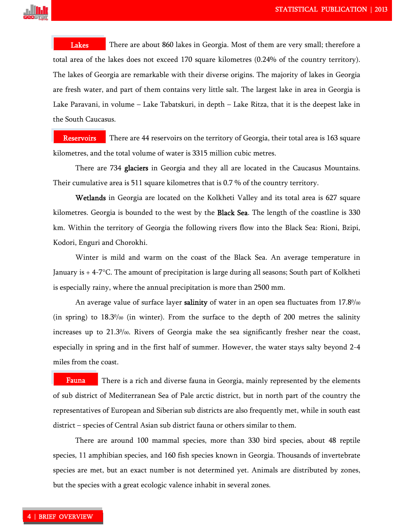

 There are about 860 lakes in Georgia. Most of them are very small; therefore a total area of the lakes does not exceed 170 square kilometres (0.24% of the country territory). The lakes of Georgia are remarkable with their diverse origins. The majority of lakes in Georgia are fresh water, and part of them contains very little salt. The largest lake in area in Georgia is Lake Paravani, in volume – Lake Tabatskuri, in depth – Lake Ritza, that it is the deepest lake in the South Caucasus. Lakes

 There are 44 reservoirs on the territory of Georgia, their total area is 163 square kilometres, and the total volume of water is 3315 million cubic metres. **Reservoirs** 

There are 734 glaciers in Georgia and they all are located in the Caucasus Mountains. Their cumulative area is 511 square kilometres that is 0.7 % of the country territory.

Wetlands in Georgia are located on the Kolkheti Valley and its total area is 627 square kilometres. Georgia is bounded to the west by the **Black Sea**. The length of the coastline is 330 km. Within the territory of Georgia the following rivers flow into the Black Sea: Rioni, Bzipi, Kodori, Enguri and Chorokhi.

Winter is mild and warm on the coast of the Black Sea. An average temperature in January is + 4-7C. The amount of precipitation is large during all seasons; South part of Kolkheti is especially rainy, where the annual precipitation is more than 2500 mm.

An average value of surface layer **salinity** of water in an open sea fluctuates from 17.8% (in spring) to  $18.3\%$  (in winter). From the surface to the depth of 200 metres the salinity increases up to 21.30 /00. Rivers of Georgia make the sea significantly fresher near the coast, especially in spring and in the first half of summer. However, the water stays salty beyond 2-4 miles from the coast.

 There is a rich and diverse fauna in Georgia, mainly represented by the elements of sub district of Mediterranean Sea of Pale arctic district, but in north part of the country the representatives of European and Siberian sub districts are also frequently met, while in south east district – species of Central Asian sub district fauna or others similar to them. Fauna

There are around 100 mammal species, more than 330 bird species, about 48 reptile species, 11 amphibian species, and 160 fish species known in Georgia. Thousands of invertebrate species are met, but an exact number is not determined yet. Animals are distributed by zones, but the species with a great ecologic valence inhabit in several zones.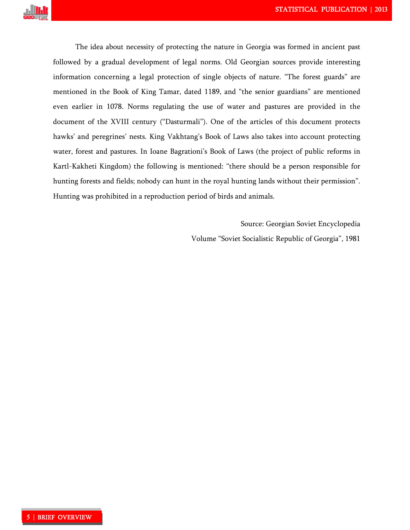

The idea about necessity of protecting the nature in Georgia was formed in ancient past followed by a gradual development of legal norms. Old Georgian sources provide interesting information concerning a legal protection of single objects of nature. "The forest guards" are mentioned in the Book of King Tamar, dated 1189, and "the senior guardians" are mentioned even earlier in 1078. Norms regulating the use of water and pastures are provided in the document of the XVIII century ("Dasturmali"). One of the articles of this document protects hawks' and peregrines' nests. King Vakhtang's Book of Laws also takes into account protecting water, forest and pastures. In Ioane Bagrationi's Book of Laws (the project of public reforms in Kartl-Kakheti Kingdom) the following is mentioned: "there should be a person responsible for hunting forests and fields; nobody can hunt in the royal hunting lands without their permission". Hunting was prohibited in a reproduction period of birds and animals.

Source: Georgian Soviet Encyclopedia

Volume "Soviet Socialistic Republic of Georgia", 1981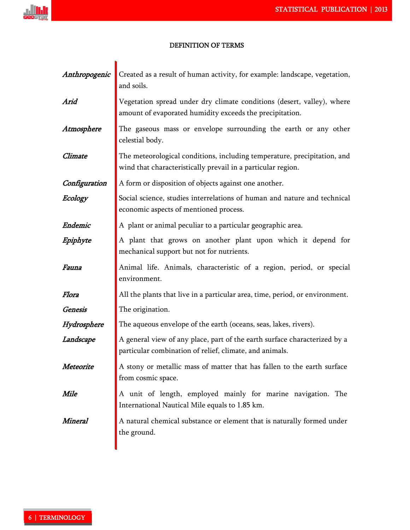

ľ

# DEFINITION OF TERMS!

| Anthropogenic  | Created as a result of human activity, for example: landscape, vegetation,<br>and soils.                                                 |
|----------------|------------------------------------------------------------------------------------------------------------------------------------------|
| Arid           | Vegetation spread under dry climate conditions (desert, valley), where<br>amount of evaporated humidity exceeds the precipitation.       |
| Atmosphere     | The gaseous mass or envelope surrounding the earth or any other<br>celestial body.                                                       |
| Climate        | The meteorological conditions, including temperature, precipitation, and<br>wind that characteristically prevail in a particular region. |
| Configuration  | A form or disposition of objects against one another.                                                                                    |
| Ecology        | Social science, studies interrelations of human and nature and technical<br>economic aspects of mentioned process.                       |
| <b>Endemic</b> | A plant or animal peculiar to a particular geographic area.                                                                              |
| Epiphyte       | A plant that grows on another plant upon which it depend for<br>mechanical support but not for nutrients.                                |
| Fauna          | Animal life. Animals, characteristic of a region, period, or special<br>environment.                                                     |
| Flora          | All the plants that live in a particular area, time, period, or environment.                                                             |
| Genesis        | The origination.                                                                                                                         |
| Hydrosphere    | The aqueous envelope of the earth (oceans, seas, lakes, rivers).                                                                         |
| Landscape      | A general view of any place, part of the earth surface characterized by a<br>particular combination of relief, climate, and animals.     |
| Meteorite      | A stony or metallic mass of matter that has fallen to the earth surface<br>from cosmic space.                                            |
| Mile           | A unit of length, employed mainly for marine navigation. The<br>International Nautical Mile equals to 1.85 km.                           |
| Mineral        | A natural chemical substance or element that is naturally formed under<br>the ground.                                                    |
|                |                                                                                                                                          |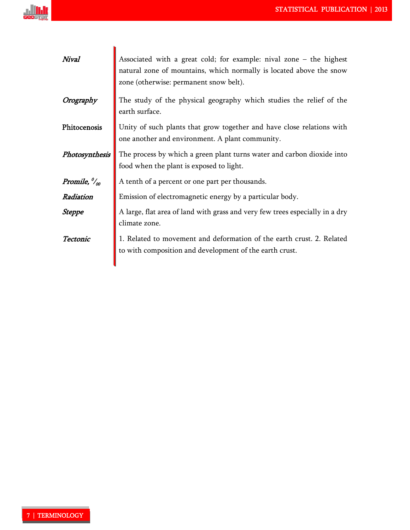

| Nival                                         | Associated with a great cold; for example: nival zone $-$ the highest<br>natural zone of mountains, which normally is located above the snow<br>zone (otherwise: permanent snow belt). |
|-----------------------------------------------|----------------------------------------------------------------------------------------------------------------------------------------------------------------------------------------|
| Orography                                     | The study of the physical geography which studies the relief of the<br>earth surface.                                                                                                  |
| Phitocenosis                                  | Unity of such plants that grow together and have close relations with<br>one another and environment. A plant community.                                                               |
| Photosynthesis                                | The process by which a green plant turns water and carbon dioxide into<br>food when the plant is exposed to light.                                                                     |
| Promile, $\frac{\partial u}{\partial \theta}$ | A tenth of a percent or one part per thousands.                                                                                                                                        |
| Radiation                                     | Emission of electromagnetic energy by a particular body.                                                                                                                               |
| <b>Steppe</b>                                 | A large, flat area of land with grass and very few trees especially in a dry<br>climate zone.                                                                                          |
| Tectonic                                      | 1. Related to movement and deformation of the earth crust. 2. Related<br>to with composition and development of the earth crust.                                                       |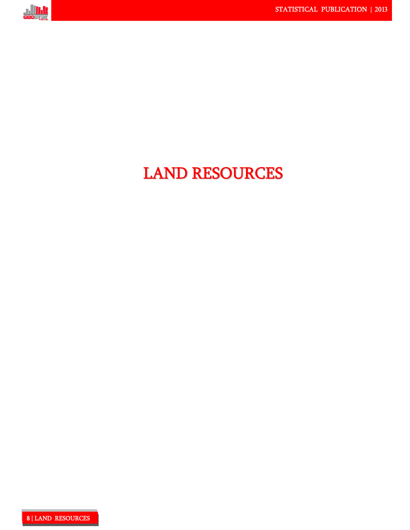

# LAND RESOURCES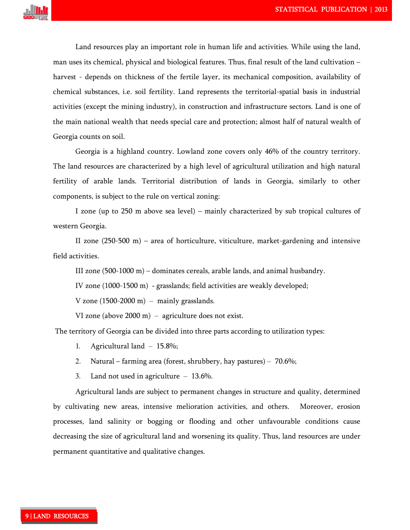

Land resources play an important role in human life and activities. While using the land, man uses its chemical, physical and biological features. Thus, final result of the land cultivation – harvest - depends on thickness of the fertile layer, its mechanical composition, availability of chemical substances, i.e. soil fertility. Land represents the territorial-spatial basis in industrial activities (except the mining industry), in construction and infrastructure sectors. Land is one of the main national wealth that needs special care and protection; almost half of natural wealth of Georgia counts on soil.

Georgia is a highland country. Lowland zone covers only 46% of the country territory. The land resources are characterized by a high level of agricultural utilization and high natural fertility of arable lands. Territorial distribution of lands in Georgia, similarly to other components, is subject to the rule on vertical zoning:

I zone (up to 250 m above sea level) – mainly characterized by sub tropical cultures of western Georgia.

II zone (250-500 m) – area of horticulture, viticulture, market-gardening and intensive field activities.

III zone (500-1000 m) – dominates cereals, arable lands, and animal husbandry.

IV zone (1000-1500 m) - grasslands; field activities are weakly developed;

V zone  $(1500-2000 \text{ m})$  – mainly grasslands.

VI zone (above 2000 m) – agriculture does not exist.

The territory of Georgia can be divided into three parts according to utilization types:

- 1. Agricultural land 15.8%;
- 2. Natural farming area (forest, shrubbery, hay pastures) 70.6%;
- 3. Land not used in agriculture 13.6%.

Agricultural lands are subject to permanent changes in structure and quality, determined by cultivating new areas, intensive melioration activities, and others. Moreover, erosion processes, land salinity or bogging or flooding and other unfavourable conditions cause decreasing the size of agricultural land and worsening its quality. Thus, land resources are under permanent quantitative and qualitative changes.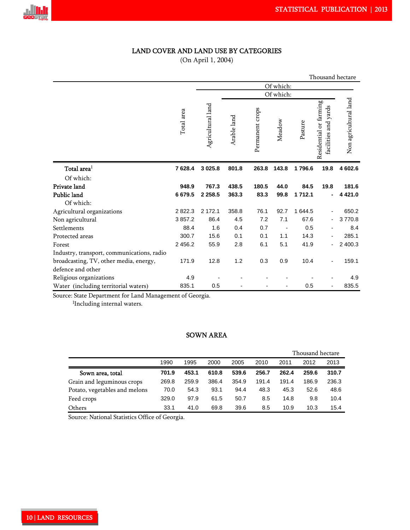# LAND COVER AND LAND USE BY CATEGORIES

(On April 1, 2004)

|                                            |            |                   |             |                 |           |         | Thousand hectare                               |                       |
|--------------------------------------------|------------|-------------------|-------------|-----------------|-----------|---------|------------------------------------------------|-----------------------|
|                                            |            |                   |             |                 | Of which: |         |                                                |                       |
|                                            |            | Of which:         |             |                 |           |         |                                                |                       |
|                                            | Total area | Agricultural land | Arable land | Permanent crops | Meadow    | Pasture | Residential or farming<br>facilities and yards | Non agricultural land |
| Total area $1$                             | 7628.4     | 3 0 25.8          | 801.8       | 263.8           | 143.8     | 1796.6  | 19.8                                           | 4 602.6               |
| Of which:                                  |            |                   |             |                 |           |         |                                                |                       |
| Private land                               | 948.9      | 767.3             | 438.5       | 180.5           | 44.0      | 84.5    | 19.8                                           | 181.6                 |
| Public land                                | 6679.5     | 2 2 5 8.5         | 363.3       | 83.3            | 99.8      | 1 712.1 |                                                | 4 4 2 1 .0            |
| Of which:                                  |            |                   |             |                 |           |         |                                                |                       |
| Agricultural organizations                 | 2822.3     | 2 172.1           | 358.8       | 76.1            | 92.7      | 1 644.5 |                                                | 650.2                 |
| Non agricultural                           | 3857.2     | 86.4              | 4.5         | 7.2             | 7.1       | 67.6    |                                                | 3770.8                |
| Settlements                                | 88.4       | 1.6               | 0.4         | 0.7             |           | 0.5     |                                                | 8.4                   |
| Protected areas                            | 300.7      | 15.6              | 0.1         | 0.1             | 1.1       | 14.3    |                                                | 285.1                 |
| Forest                                     | 2 4 5 6.2  | 55.9              | 2.8         | 6.1             | 5.1       | 41.9    |                                                | 2 400.3               |
| Industry, transport, communications, radio |            |                   |             |                 |           |         |                                                |                       |
| broadcasting, TV, other media, energy,     | 171.9      | 12.8              | 1.2         | 0.3             | 0.9       | 10.4    |                                                | 159.1                 |
| defence and other                          |            |                   |             |                 |           |         |                                                |                       |
| Religious organizations                    | 4.9        |                   |             |                 |           |         |                                                | 4.9                   |
| Water (including territorial waters)       | 835.1      | 0.5               |             |                 |           | 0.5     |                                                | 835.5                 |

Source: State Department for Land Management of Georgia.

<sup>1</sup>Including internal waters.

# SOWN AREA

|                               |       |       |       |       |       |       | Thousand hectare |       |  |  |
|-------------------------------|-------|-------|-------|-------|-------|-------|------------------|-------|--|--|
|                               | 1990  | 1995  | 2000  | 2005  | 2010  | 2011  | 2012             | 2013  |  |  |
| Sown area, total              | 701.9 | 453.1 | 610.8 | 539.6 | 256.7 | 262.4 | 259.6            | 310.7 |  |  |
| Grain and leguminous crops    | 269.8 | 259.9 | 386.4 | 354.9 | 191.4 | 191.4 | 186.9            | 236.3 |  |  |
| Potato, vegetables and melons | 70.0  | 54.3  | 93.1  | 94.4  | 48.3  | 45.3  | 52.6             | 48.6  |  |  |
| Feed crops                    | 329.0 | 97.9  | 61.5  | 50.7  | 8.5   | 14.8  | 9.8              | 10.4  |  |  |
| Others                        | 33.1  | 41.0  | 69.8  | 39.6  | 8.5   | 10.9  | 10.3             | 15.4  |  |  |

Source: National Statistics Office of Georgia.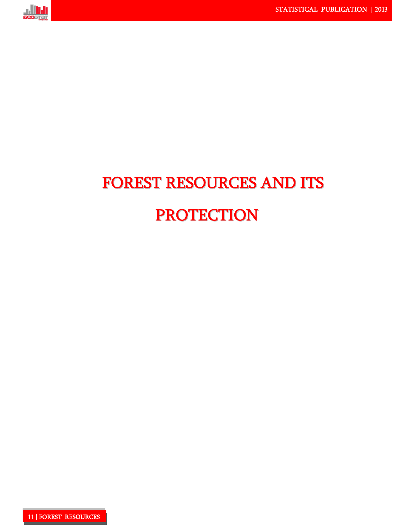

# FOREST RESOURCES AND ITS PROTECTION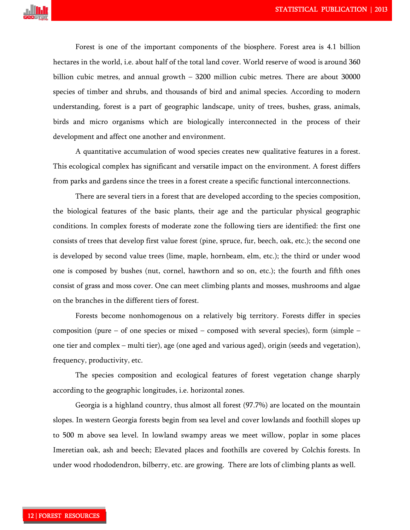

Forest is one of the important components of the biosphere. Forest area is 4.1 billion hectares in the world, i.e. about half of the total land cover. World reserve of wood is around 360 billion cubic metres, and annual growth - 3200 million cubic metres. There are about 30000 species of timber and shrubs, and thousands of bird and animal species. According to modern understanding, forest is a part of geographic landscape, unity of trees, bushes, grass, animals, birds and micro organisms which are biologically interconnected in the process of their development and affect one another and environment.

A quantitative accumulation of wood species creates new qualitative features in a forest. This ecological complex has significant and versatile impact on the environment. A forest differs from parks and gardens since the trees in a forest create a specific functional interconnections.

There are several tiers in a forest that are developed according to the species composition, the biological features of the basic plants, their age and the particular physical geographic conditions. In complex forests of moderate zone the following tiers are identified: the first one consists of trees that develop first value forest (pine, spruce, fur, beech, oak, etc.); the second one is developed by second value trees (lime, maple, hornbeam, elm, etc.); the third or under wood one is composed by bushes (nut, cornel, hawthorn and so on, etc.); the fourth and fifth ones consist of grass and moss cover. One can meet climbing plants and mosses, mushrooms and algae on the branches in the different tiers of forest.

Forests become nonhomogenous on a relatively big territory. Forests differ in species composition (pure – of one species or mixed – composed with several species), form (simple – one tier and complex – multi tier), age (one aged and various aged), origin (seeds and vegetation), frequency, productivity, etc.

The species composition and ecological features of forest vegetation change sharply according to the geographic longitudes, i.e. horizontal zones.

Georgia is a highland country, thus almost all forest (97.7%) are located on the mountain slopes. In western Georgia forests begin from sea level and cover lowlands and foothill slopes up to 500 m above sea level. In lowland swampy areas we meet willow, poplar in some places Imeretian oak, ash and beech; Elevated places and foothills are covered by Colchis forests. In under wood rhododendron, bilberry, etc. are growing. There are lots of climbing plants as well.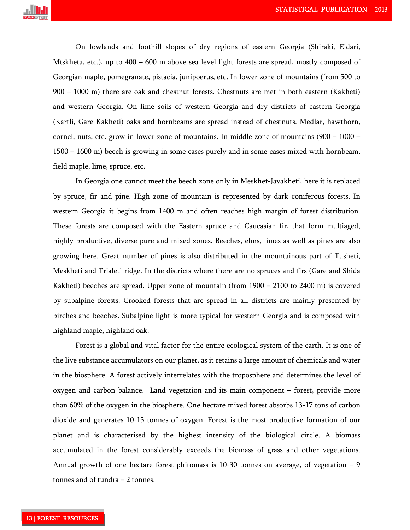

On lowlands and foothill slopes of dry regions of eastern Georgia (Shiraki, Eldari, Mtskheta, etc.), up to 400 – 600 m above sea level light forests are spread, mostly composed of Georgian maple, pomegranate, pistacia, junipoerus, etc. In lower zone of mountains (from 500 to 900 – 1000 m) there are oak and chestnut forests. Chestnuts are met in both eastern (Kakheti) and western Georgia. On lime soils of western Georgia and dry districts of eastern Georgia (Kartli, Gare Kakheti) oaks and hornbeams are spread instead of chestnuts. Medlar, hawthorn, cornel, nuts, etc. grow in lower zone of mountains. In middle zone of mountains  $(900 - 1000 -$ 1500 – 1600 m) beech is growing in some cases purely and in some cases mixed with hornbeam, field maple, lime, spruce, etc.

In Georgia one cannot meet the beech zone only in Meskhet-Javakheti, here it is replaced by spruce, fir and pine. High zone of mountain is represented by dark coniferous forests. In western Georgia it begins from 1400 m and often reaches high margin of forest distribution. These forests are composed with the Eastern spruce and Caucasian fir, that form multiaged, highly productive, diverse pure and mixed zones. Beeches, elms, limes as well as pines are also growing here. Great number of pines is also distributed in the mountainous part of Tusheti, Meskheti and Trialeti ridge. In the districts where there are no spruces and firs (Gare and Shida Kakheti) beeches are spread. Upper zone of mountain (from 1900 – 2100 to 2400 m) is covered by subalpine forests. Crooked forests that are spread in all districts are mainly presented by birches and beeches. Subalpine light is more typical for western Georgia and is composed with highland maple, highland oak.

Forest is a global and vital factor for the entire ecological system of the earth. It is one of the live substance accumulators on our planet, as it retains a large amount of chemicals and water in the biosphere. A forest actively interrelates with the troposphere and determines the level of oxygen and carbon balance. Land vegetation and its main component – forest, provide more than 60% of the oxygen in the biosphere. One hectare mixed forest absorbs 13-17 tons of carbon dioxide and generates 10-15 tonnes of oxygen. Forest is the most productive formation of our planet and is characterised by the highest intensity of the biological circle. A biomass accumulated in the forest considerably exceeds the biomass of grass and other vegetations. Annual growth of one hectare forest phitomass is  $10-30$  tonnes on average, of vegetation  $-9$ tonnes and of tundra – 2 tonnes.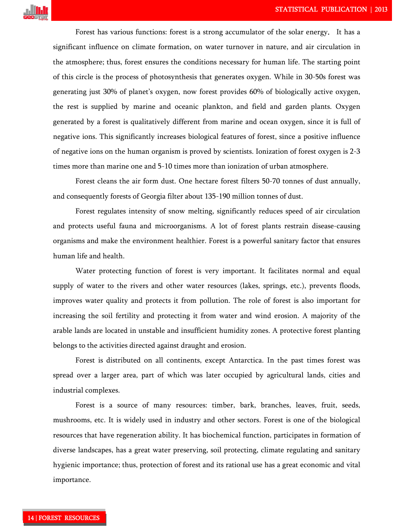

Forest has various functions: forest is a strong accumulator of the solar energy. It has a significant influence on climate formation, on water turnover in nature, and air circulation in the atmosphere; thus, forest ensures the conditions necessary for human life. The starting point of this circle is the process of photosynthesis that generates oxygen. While in 30-50s forest was generating just 30% of planet's oxygen, now forest provides 60% of biologically active oxygen, the rest is supplied by marine and oceanic plankton, and field and garden plants. Oxygen generated by a forest is qualitatively different from marine and ocean oxygen, since it is full of negative ions. This significantly increases biological features of forest, since a positive influence of negative ions on the human organism is proved by scientists. Ionization of forest oxygen is 2-3 times more than marine one and 5-10 times more than ionization of urban atmosphere.

Forest cleans the air form dust. One hectare forest filters 50-70 tonnes of dust annually, and consequently forests of Georgia filter about 135-190 million tonnes of dust.

Forest regulates intensity of snow melting, significantly reduces speed of air circulation and protects useful fauna and microorganisms. A lot of forest plants restrain disease-causing organisms and make the environment healthier. Forest is a powerful sanitary factor that ensures human life and health.

Water protecting function of forest is very important. It facilitates normal and equal supply of water to the rivers and other water resources (lakes, springs, etc.), prevents floods, improves water quality and protects it from pollution. The role of forest is also important for increasing the soil fertility and protecting it from water and wind erosion. A majority of the arable lands are located in unstable and insufficient humidity zones. A protective forest planting belongs to the activities directed against draught and erosion.

Forest is distributed on all continents, except Antarctica. In the past times forest was spread over a larger area, part of which was later occupied by agricultural lands, cities and industrial complexes.

Forest is a source of many resources: timber, bark, branches, leaves, fruit, seeds, mushrooms, etc. It is widely used in industry and other sectors. Forest is one of the biological resources that have regeneration ability. It has biochemical function, participates in formation of diverse landscapes, has a great water preserving, soil protecting, climate regulating and sanitary hygienic importance; thus, protection of forest and its rational use has a great economic and vital importance.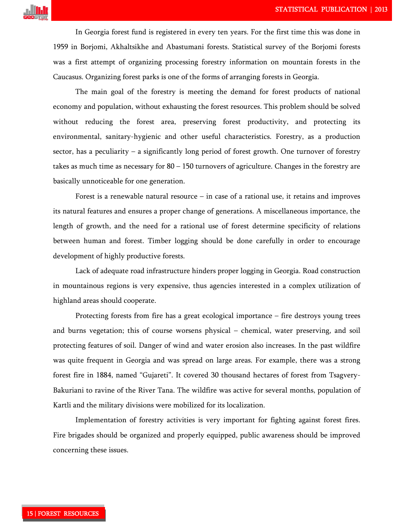

In Georgia forest fund is registered in every ten years. For the first time this was done in 1959 in Borjomi, Akhaltsikhe and Abastumani forests. Statistical survey of the Borjomi forests was a first attempt of organizing processing forestry information on mountain forests in the Caucasus. Organizing forest parks is one of the forms of arranging forests in Georgia.

The main goal of the forestry is meeting the demand for forest products of national economy and population, without exhausting the forest resources. This problem should be solved without reducing the forest area, preserving forest productivity, and protecting its environmental, sanitary-hygienic and other useful characteristics. Forestry, as a production sector, has a peculiarity – a significantly long period of forest growth. One turnover of forestry takes as much time as necessary for 80 – 150 turnovers of agriculture. Changes in the forestry are basically unnoticeable for one generation.

Forest is a renewable natural resource  $-$  in case of a rational use, it retains and improves its natural features and ensures a proper change of generations. A miscellaneous importance, the length of growth, and the need for a rational use of forest determine specificity of relations between human and forest. Timber logging should be done carefully in order to encourage development of highly productive forests.

Lack of adequate road infrastructure hinders proper logging in Georgia. Road construction in mountainous regions is very expensive, thus agencies interested in a complex utilization of highland areas should cooperate.

Protecting forests from fire has a great ecological importance – fire destroys young trees and burns vegetation; this of course worsens physical – chemical, water preserving, and soil protecting features of soil. Danger of wind and water erosion also increases. In the past wildfire was quite frequent in Georgia and was spread on large areas. For example, there was a strong forest fire in 1884, named "Gujareti". It covered 30 thousand hectares of forest from Tsagvery-Bakuriani to ravine of the River Tana. The wildfire was active for several months, population of Kartli and the military divisions were mobilized for its localization.

Implementation of forestry activities is very important for fighting against forest fires. Fire brigades should be organized and properly equipped, public awareness should be improved concerning these issues.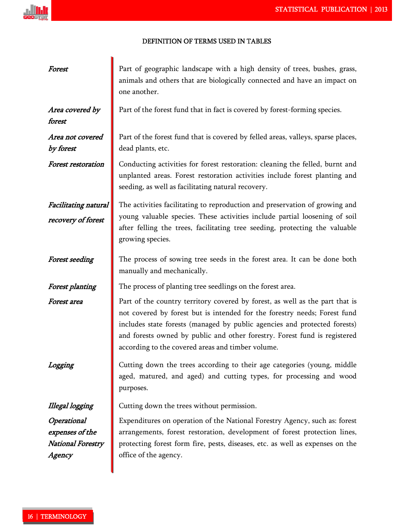# الأأيير

### DEFINITION OF TERMS USED IN TABLES!

| Forest                                                        | Part of geographic landscape with a high density of trees, bushes, grass,<br>animals and others that are biologically connected and have an impact on<br>one another.                                                                                                                                                                                                    |
|---------------------------------------------------------------|--------------------------------------------------------------------------------------------------------------------------------------------------------------------------------------------------------------------------------------------------------------------------------------------------------------------------------------------------------------------------|
| Area covered by<br>forest                                     | Part of the forest fund that in fact is covered by forest-forming species.                                                                                                                                                                                                                                                                                               |
| Area not covered<br>by forest                                 | Part of the forest fund that is covered by felled areas, valleys, sparse places,<br>dead plants, etc.                                                                                                                                                                                                                                                                    |
| <b>Forest restoration</b>                                     | Conducting activities for forest restoration: cleaning the felled, burnt and<br>unplanted areas. Forest restoration activities include forest planting and<br>seeding, as well as facilitating natural recovery.                                                                                                                                                         |
| Facilitating natural<br>recovery of forest                    | The activities facilitating to reproduction and preservation of growing and<br>young valuable species. These activities include partial loosening of soil<br>after felling the trees, facilitating tree seeding, protecting the valuable<br>growing species.                                                                                                             |
| <b>Forest seeding</b>                                         | The process of sowing tree seeds in the forest area. It can be done both<br>manually and mechanically.                                                                                                                                                                                                                                                                   |
| <b>Forest planting</b>                                        | The process of planting tree seedlings on the forest area.                                                                                                                                                                                                                                                                                                               |
| Forest area                                                   | Part of the country territory covered by forest, as well as the part that is<br>not covered by forest but is intended for the forestry needs; Forest fund<br>includes state forests (managed by public agencies and protected forests)<br>and forests owned by public and other forestry. Forest fund is registered<br>according to the covered areas and timber volume. |
|                                                               | Cutting down the trees according to their age categories (young, middle<br>aged, matured, and aged) and cutting types, for processing and wood<br>purposes.                                                                                                                                                                                                              |
| <b>Illegal logging</b>                                        | Cutting down the trees without permission.                                                                                                                                                                                                                                                                                                                               |
| Operational<br>expenses of the<br>National Forestry<br>Agency | Expenditures on operation of the National Forestry Agency, such as: forest<br>arrangements, forest restoration, development of forest protection lines,<br>protecting forest form fire, pests, diseases, etc. as well as expenses on the<br>office of the agency.                                                                                                        |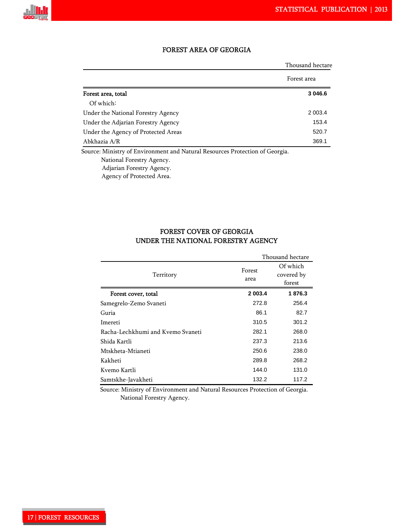

# FOREST AREA OF GEORGIA

|                                     | Thousand hectare |
|-------------------------------------|------------------|
|                                     | Forest area      |
| Forest area, total                  | 3 046.6          |
| Of which:                           |                  |
| Under the National Forestry Agency  | 2 0 0 3.4        |
| Under the Adjarian Forestry Agency  | 153.4            |
| Under the Agency of Protected Areas | 520.7            |
| Abkhazia A/R                        | 369.1            |

 National Forestry Agency. Adjarian Forestry Agency.

Agency of Protected Area.

# FOREST COVER OF GEORGIA UNDER THE NATIONAL FORESTRY AGENCY

|                                   |                | Thousand hectare                 |
|-----------------------------------|----------------|----------------------------------|
| Territory                         | Forest<br>area | Of which<br>covered by<br>forest |
| Forest cover, total               | 2 003.4        | 1876.3                           |
| Samegrelo-Zemo Svaneti            | 272.8          | 256.4                            |
| Guria                             | 86.1           | 82.7                             |
| Imereti                           | 310.5          | 301.2                            |
| Racha-Lechkhumi and Kvemo Svaneti | 282.1          | 268.0                            |
| Shida Kartli                      | 237.3          | 213.6                            |
| Mtskheta-Mtianeti                 | 250.6          | 238.0                            |
| Kakheti                           | 289.8          | 268.2                            |
| Kvemo Kartli                      | 144.0          | 131.0                            |
| Samtskhe-Javakheti                | 132.2          | 117.2                            |

 Source: Ministry of Environment and Natural Resources Protection of Georgia. National Forestry Agency.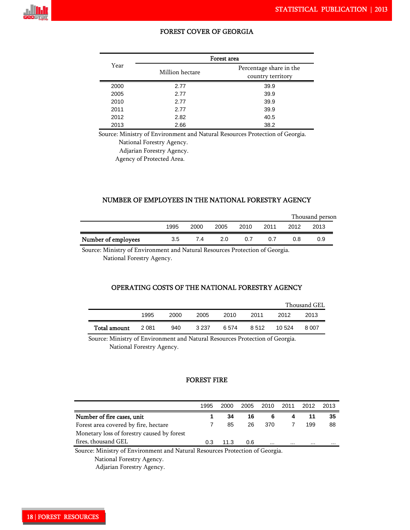

#### FOREST COVER OF GEORGIA

|      |                 | Forest area                                  |
|------|-----------------|----------------------------------------------|
| Year | Million hectare | Percentage share in the<br>country territory |
| 2000 | 2.77            | 39.9                                         |
| 2005 | 2.77            | 39.9                                         |
| 2010 | 2.77            | 39.9                                         |
| 2011 | 2.77            | 39.9                                         |
| 2012 | 2.82            | 40.5                                         |
| 2013 | 2.66            | 38.2                                         |

Source: Ministry of Environment and Natural Resources Protection of Georgia.

National Forestry Agency.

Adjarian Forestry Agency.

Agency of Protected Area.

#### NUMBER OF EMPLOYEES IN THE NATIONAL FORESTRY AGENCY

|                     |      |      |      |      |      | Thousand person |      |  |  |
|---------------------|------|------|------|------|------|-----------------|------|--|--|
|                     | 1995 | 2000 | 2005 | 2010 | 2011 | 2012            | 2013 |  |  |
| Number of employees | 3.5  | 7.4  | 2.0  | 0.7  | 0.7  | 0.8             | 0.9  |  |  |

Source: Ministry of Environment and Natural Resources Protection of Georgia.

National Forestry Agency.

# OPERATING COSTS OF THE NATIONAL FORESTRY AGENCY

|              |      |      |         |      |       | Thousand GEL |       |  |
|--------------|------|------|---------|------|-------|--------------|-------|--|
|              | 1995 | 2000 | 2005    | 2010 | 2011  | 2012         | 2013  |  |
| Total amount | 2081 | 940  | 3 2 3 7 | 6574 | 8.512 | 10.524       | 8.007 |  |

 Source: Ministry of Environment and Natural Resources Protection of Georgia. National Forestry Agency.

### FOREST FIRE

|                                                                      | 1995   | 2000   | 2005 | 2010                 | 2011     | 2012 | 2013     |
|----------------------------------------------------------------------|--------|--------|------|----------------------|----------|------|----------|
| Number of fire cases, unit                                           |        | 34     | 16   | 6                    |          |      | 35       |
| Forest area covered by fire, hectare                                 |        | 85     | 26   | 370                  |          | 199  | 88       |
| Monetary loss of forestry caused by forest                           |        |        |      |                      |          |      |          |
| fires, thousand GEL                                                  | 0.3    | 11.3   | 0.6  |                      | $\cdots$ |      | $\cdots$ |
| $\sim$ $\sim$<br>$\sim$ $\sim$ $\sim$ $\sim$ $\sim$<br>$\sim$ $\sim$ | $\sim$ | $\sim$ |      | $\sim$ $\sim$ $\sim$ |          |      |          |

Source: Ministry of Environment and Natural Resources Protection of Georgia.

National Forestry Agency.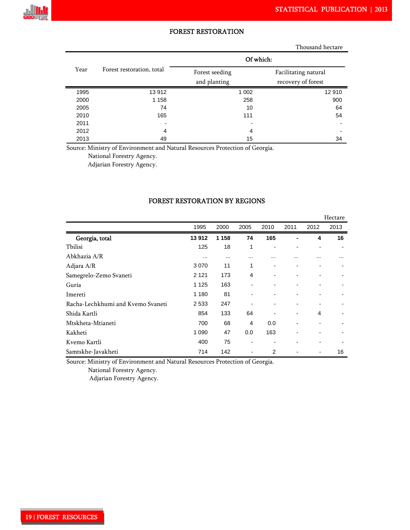

# FOREST RESTORATION

Thousand hectare

|      |                           | Of which:                      |                                            |  |  |  |
|------|---------------------------|--------------------------------|--------------------------------------------|--|--|--|
| Year | Forest restoration, total | Forest seeding<br>and planting | Facilitating natural<br>recovery of forest |  |  |  |
| 1995 | 13 912                    | 1 0 0 2                        | 12 910                                     |  |  |  |
| 2000 | 1 1 5 8                   | 258                            | 900                                        |  |  |  |
| 2005 | 74                        | 10                             | 64                                         |  |  |  |
| 2010 | 165                       | 111                            | 54                                         |  |  |  |
| 2011 | $\overline{\phantom{0}}$  |                                |                                            |  |  |  |
| 2012 | 4                         | 4                              |                                            |  |  |  |
| 2013 | 49                        | 15                             | 34                                         |  |  |  |

Source: Ministry of Environment and Natural Resources Protection of Georgia.

National Forestry Agency.

Adjarian Forestry Agency.

|                                   |          |          |                          |                          |                              |                | Hectare        |
|-----------------------------------|----------|----------|--------------------------|--------------------------|------------------------------|----------------|----------------|
|                                   | 1995     | 2000     | 2005                     | 2010                     | 2011                         | 2012           | 2013           |
| Georgia, total                    | 13912    | 1 1 5 8  | 74                       | 165                      |                              | 4              | 16             |
| Tbilisi                           | 125      | 18       | 1                        | $\blacksquare$           | $\blacksquare$               | $\blacksquare$ |                |
| Abkhazia A/R                      | $\cdots$ | $\cdots$ |                          |                          | .                            | .              |                |
| Adjara A/R                        | 3 0 7 0  | 11       | 1                        | $\overline{\phantom{a}}$ | $\qquad \qquad \blacksquare$ | $\blacksquare$ | $\blacksquare$ |
| Samegrelo-Zemo Svaneti            | 2 1 2 1  | 173      | 4                        | $\overline{\phantom{a}}$ | $\overline{\phantom{a}}$     | ۰              | $\blacksquare$ |
| Guria                             | 1 1 2 5  | 163      | -                        | $\blacksquare$           | -                            | $\blacksquare$ |                |
| Imereti                           | 1 1 8 0  | 81       | -                        | $\blacksquare$           | -                            | ۰              |                |
| Racha-Lechkhumi and Kvemo Svaneti | 2 5 3 3  | 247      | -                        | $\overline{\phantom{a}}$ | -                            | $\blacksquare$ |                |
| Shida Kartli                      | 854      | 133      | 64                       | -                        | $\blacksquare$               | 4              |                |
| Mtskheta-Mtianeti                 | 700      | 68       | $\overline{4}$           | 0.0                      | $\overline{\phantom{0}}$     | ۰              |                |
| Kakheti                           | 1 0 9 0  | 47       | 0.0                      | 163                      | $\blacksquare$               | ۰              |                |
| Kvemo Kartli                      | 400      | 75       | -                        | $\blacksquare$           |                              |                |                |
| Samtskhe-Javakheti                | 714      | 142      | $\overline{\phantom{0}}$ | $\overline{2}$           |                              | $\blacksquare$ | 16             |

#### FOREST RESTORATION BY REGIONS

Source: Ministry of Environment and Natural Resources Protection of Georgia.

National Forestry Agency.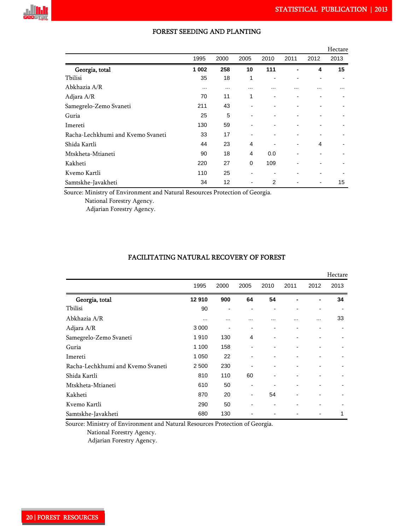

|                                   |          |      |                |      |      |      | Hectare |
|-----------------------------------|----------|------|----------------|------|------|------|---------|
|                                   | 1995     | 2000 | 2005           | 2010 | 2011 | 2012 | 2013    |
| Georgia, total                    | 1 0 0 2  | 258  | 10             | 111  |      | 4    | 15      |
| Tbilisi                           | 35       | 18   | 1              |      |      |      |         |
| Abkhazia A/R                      | $\cdots$ |      | $\cdots$       |      |      |      |         |
| Adjara A/R                        | 70       | 11   | 1              |      |      |      |         |
| Samegrelo-Zemo Svaneti            | 211      | 43   |                |      |      |      |         |
| Guria                             | 25       | 5    |                |      |      |      |         |
| Imereti                           | 130      | 59   |                |      |      |      |         |
| Racha-Lechkhumi and Kvemo Svaneti | 33       | 17   |                |      |      |      |         |
| Shida Kartli                      | 44       | 23   | $\overline{4}$ |      |      | 4    |         |
| Mtskheta-Mtianeti                 | 90       | 18   | $\overline{4}$ | 0.0  |      |      |         |
| Kakheti                           | 220      | 27   | $\mathbf 0$    | 109  |      |      |         |
| Kvemo Kartli                      | 110      | 25   |                |      |      |      |         |
| Samtskhe-Javakheti                | 34       | 12   |                | 2    |      |      | 15      |

### FOREST SEEDING AND PLANTING

Source: Ministry of Environment and Natural Resources Protection of Georgia.

National Forestry Agency.

Adjarian Forestry Agency.

# FACILITATING NATURAL RECOVERY OF FOREST

|                                   |          |          |                          |                          |                |      | Hectare |
|-----------------------------------|----------|----------|--------------------------|--------------------------|----------------|------|---------|
|                                   | 1995     | 2000     | 2005                     | 2010                     | 2011           | 2012 | 2013    |
| Georgia, total                    | 12910    | 900      | 64                       | 54                       |                | ۰    | 34      |
| Tbilisi                           | 90       |          |                          |                          |                |      |         |
| Abkhazia A/R                      | $\cdots$ | $\cdots$ | .                        |                          |                | .    | 33      |
| Adjara A/R                        | 3 0 0 0  |          | $\blacksquare$           |                          |                |      |         |
| Samegrelo-Zemo Svaneti            | 1910     | 130      | 4                        | $\overline{\phantom{a}}$ |                |      |         |
| Guria                             | 1 100    | 158      | $\blacksquare$           | $\blacksquare$           | -              |      |         |
| Imereti                           | 1 0 5 0  | 22       | $\blacksquare$           |                          |                |      |         |
| Racha-Lechkhumi and Kvemo Svaneti | 2 500    | 230      |                          | $\blacksquare$           | -              | ۰    |         |
| Shida Kartli                      | 810      | 110      | 60                       | $\overline{\phantom{a}}$ |                |      |         |
| Mtskheta-Mtianeti                 | 610      | 50       | $\blacksquare$           |                          |                |      |         |
| Kakheti                           | 870      | 20       | $\overline{\phantom{a}}$ | 54                       | $\blacksquare$ | ۰    |         |
| Kvemo Kartli                      | 290      | 50       | $\blacksquare$           |                          |                |      |         |
| Samtskhe-Javakheti                | 680      | 130      |                          |                          |                |      | 1       |

Source: Ministry of Environment and Natural Resources Protection of Georgia.

National Forestry Agency.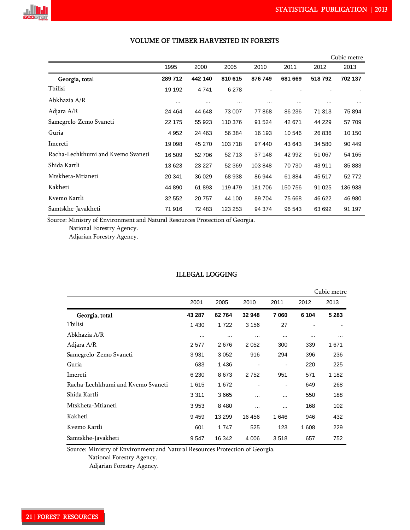

|                                   |          |          |          |          |          |          | Cubic metre |
|-----------------------------------|----------|----------|----------|----------|----------|----------|-------------|
|                                   | 1995     | 2000     | 2005     | 2010     | 2011     | 2012     | 2013        |
| Georgia, total                    | 289 712  | 442 140  | 810 615  | 876 749  | 681 669  | 518792   | 702 137     |
| Tbilisi                           | 19 192   | 4741     | 6 2 7 8  |          |          |          |             |
| Abkhazia A/R                      | $\cdots$ | $\cdots$ | $\cdots$ | $\cdots$ | $\cdots$ | $\cdots$ | $\cdots$    |
| Adjara A/R                        | 24 4 64  | 44 648   | 73 007   | 77868    | 86 236   | 71 313   | 75 894      |
| Samegrelo-Zemo Svaneti            | 22 175   | 55 923   | 110 376  | 91 524   | 42 671   | 44 229   | 57 709      |
| Guria                             | 4 9 5 2  | 24 4 63  | 56 384   | 16 193   | 10 546   | 26 836   | 10 150      |
| Imereti                           | 19 098   | 45 270   | 103718   | 97 440   | 43 643   | 34 580   | 90 449      |
| Racha-Lechkhumi and Kvemo Svaneti | 16 509   | 52 706   | 52713    | 37 148   | 42 992   | 51 067   | 54 165      |
| Shida Kartli                      | 13 623   | 23 227   | 52 369   | 103848   | 70 730   | 43 911   | 85 883      |
| Mtskheta-Mtianeti                 | 20 341   | 36 029   | 68 938   | 86 944   | 61 884   | 45 517   | 52772       |
| Kakheti                           | 44 890   | 61 893   | 119 479  | 181706   | 150 756  | 91 0 25  | 136 938     |
| Kvemo Kartli                      | 32 552   | 20 757   | 44 100   | 89 704   | 75 668   | 46 622   | 46 980      |
| Samtskhe-Javakheti                | 71 916   | 72 483   | 123 253  | 94 374   | 96 543   | 63 692   | 91 197      |

### VOLUME OF TIMBER HARVESTED IN FORESTS!!

Source: Ministry of Environment and Natural Resources Protection of Georgia.

National Forestry Agency.

Adjarian Forestry Agency.

# ILLEGAL LOGGING

|                                   |          |          |          |                |          | Cubic metre |
|-----------------------------------|----------|----------|----------|----------------|----------|-------------|
|                                   | 2001     | 2005     | 2010     | 2011           | 2012     | 2013        |
| Georgia, total                    | 43 287   | 62764    | 32 948   | 7060           | 6 104    | 5 2 8 3     |
| Tbilisi                           | 1 4 3 0  | 1722     | 3 1 5 6  | 27             |          |             |
| Abkhazia A/R                      | $\cdots$ | $\cdots$ | $\cdots$ | $\cdots$       | $\cdots$ | $\cdots$    |
| Adjara A/R                        | 2577     | 2676     | 2052     | 300            | 339      | 1671        |
| Samegrelo-Zemo Svaneti            | 3931     | 3 0 5 2  | 916      | 294            | 396      | 236         |
| Guria                             | 633      | 1436     |          |                | 220      | 225         |
| Imereti                           | 6 2 3 0  | 8673     | 2752     | 951            | 571      | 1 1 8 2     |
| Racha-Lechkhumi and Kvemo Svaneti | 1615     | 1672     |          | $\overline{a}$ | 649      | 268         |
| Shida Kartli                      | 3 3 1 1  | 3665     | $\cdots$ |                | 550      | 188         |
| Mtskheta-Mtianeti                 | 3953     | 8 4 8 0  | $\cdots$ |                | 168      | 102         |
| Kakheti                           | 9459     | 13 299   | 16 45 6  | 1646           | 946      | 432         |
| Kvemo Kartli                      | 601      | 1747     | 525      | 123            | 1608     | 229         |
| Samtskhe-Javakheti                | 9547     | 16 342   | 4 0 0 6  | 3518           | 657      | 752         |

Source: Ministry of Environment and Natural Resources Protection of Georgia.

National Forestry Agency.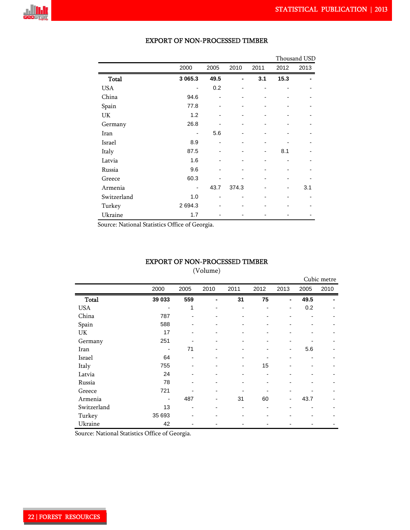

|              |             |      |       |      |      | Thousand USD |
|--------------|-------------|------|-------|------|------|--------------|
|              | 2000        | 2005 | 2010  | 2011 | 2012 | 2013         |
| <b>Total</b> | 3 0 6 5 . 3 | 49.5 |       | 3.1  | 15.3 |              |
| <b>USA</b>   |             | 0.2  |       |      |      |              |
| China        | 94.6        |      |       |      |      |              |
| Spain        | 77.8        |      |       |      |      |              |
| UK           | 1.2         |      |       |      |      |              |
| Germany      | 26.8        |      |       |      |      |              |
| Iran         |             | 5.6  |       |      |      |              |
| Israel       | 8.9         |      |       |      |      |              |
| Italy        | 87.5        |      |       |      | 8.1  |              |
| Latvia       | 1.6         |      |       |      |      |              |
| Russia       | 9.6         |      |       |      |      |              |
| Greece       | 60.3        |      |       |      |      |              |
| Armenia      |             | 43.7 | 374.3 |      |      | 3.1          |
| Switzerland  | 1.0         |      |       |      |      |              |
| Turkey       | 2 694.3     |      |       |      |      |              |
| Ukraine      | 1.7         |      |       |      |      |              |

### EXPORT OF NON-PROCESSED TIMBER

Source: National Statistics Office of Georgia.

#### EXPORT OF NON-PROCESSED TIMBER

(Volume)

|              |                              |                |                          |                          |                          |      |      | Cubic metre |
|--------------|------------------------------|----------------|--------------------------|--------------------------|--------------------------|------|------|-------------|
|              | 2000                         | 2005           | 2010                     | 2011                     | 2012                     | 2013 | 2005 | 2010        |
| <b>Total</b> | 39 033                       | 559            | ۰                        | 31                       | 75                       | ۰    | 49.5 |             |
| <b>USA</b>   |                              | 1              | $\blacksquare$           | -                        | $\overline{\phantom{a}}$ | -    | 0.2  |             |
| China        | 787                          | $\blacksquare$ | -                        | $\overline{\phantom{0}}$ | -                        |      |      |             |
| Spain        | 588                          |                |                          | -                        |                          |      |      |             |
| UK           | 17                           |                |                          | $\overline{a}$           |                          |      |      |             |
| Germany      | 251                          |                |                          | $\overline{a}$           |                          |      |      |             |
| Iran         | $\qquad \qquad \blacksquare$ | 71             |                          | $\overline{\phantom{0}}$ |                          | Ξ.   | 5.6  |             |
| Israel       | 64                           |                |                          |                          |                          |      |      |             |
| Italy        | 755                          |                |                          | $\overline{\phantom{0}}$ | 15                       |      |      |             |
| Latvia       | 24                           |                |                          | ۰                        | $\blacksquare$           |      |      |             |
| Russia       | 78                           | $\blacksquare$ |                          | ۰                        | $\blacksquare$           |      |      |             |
| Greece       | 721                          |                | $\blacksquare$           | ۰                        |                          |      |      |             |
| Armenia      | $\blacksquare$               | 487            | $\overline{\phantom{a}}$ | 31                       | 60                       | ۰    | 43.7 |             |
| Switzerland  | 13                           | $\blacksquare$ |                          | ۰                        | -                        |      |      |             |
| Turkey       | 35 693                       | $\blacksquare$ |                          | ۰                        | -                        |      |      |             |
| Ukraine      | 42                           |                |                          |                          |                          |      |      |             |

Source: National Statistics Office of Georgia.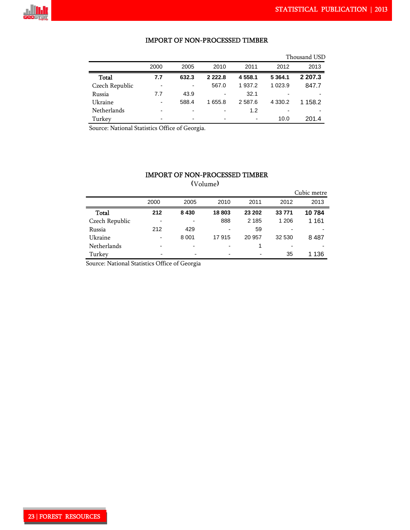

### IMPORT OF NON-PROCESSED TIMBER

|                |                          |                          |                          |           |             | Thousand USD |
|----------------|--------------------------|--------------------------|--------------------------|-----------|-------------|--------------|
|                | 2000                     | 2005                     | 2010                     | 2011      | 2012        | 2013         |
| Total          | 7.7                      | 632.3                    | 2 2 2 2 .8               | 4 5 5 8.1 | 5 3 6 4 . 1 | 2 207.3      |
| Czech Republic |                          |                          | 567.0                    | 1 937.2   | 1 0 2 3 . 9 | 847.7        |
| Russia         | 7.7                      | 43.9                     | $\overline{\phantom{0}}$ | 32.1      | -           |              |
| Ukraine        | $\overline{\phantom{0}}$ | 588.4                    | 1 655.8                  | 2 5 8 7.6 | 4 3 3 0.2   | 1 158.2      |
| Netherlands    | $\overline{\phantom{0}}$ | $\overline{\phantom{a}}$ | -                        | 1.2       | -           |              |
| Turkey         |                          | $\overline{\phantom{a}}$ | $\overline{\phantom{0}}$ |           | 10.0        | 201.4        |

Source: National Statistics Office of Georgia.

# IMPORT OF NON-PROCESSED TIMBER (Volume)

|                |                          |         |       |                          |        | Cubic metre |
|----------------|--------------------------|---------|-------|--------------------------|--------|-------------|
|                | 2000                     | 2005    | 2010  | 2011                     | 2012   | 2013        |
| Total          | 212                      | 8 4 3 0 | 18803 | 23 202                   | 33771  | 10784       |
| Czech Republic | $\overline{\phantom{a}}$ |         | 888   | 2 1 8 5                  | 1 206  | 1 1 6 1     |
| Russia         | 212                      | 429     |       | 59                       |        |             |
| Ukraine        | -                        | 8 0 0 1 | 17915 | 20 957                   | 32 530 | 8487        |
| Netherlands    |                          |         |       |                          |        |             |
| Turkey         |                          | -       |       | $\overline{\phantom{0}}$ | 35     | 136         |

Source: National Statistics Office of Georgia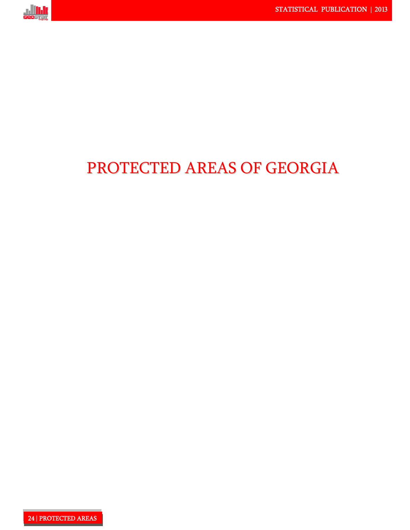

# PROTECTED AREAS OF GEORGIA

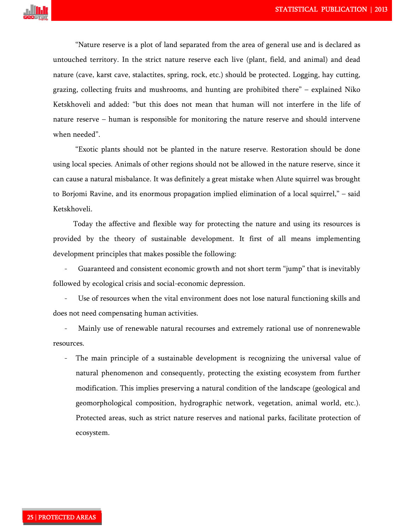

"Nature reserve is a plot of land separated from the area of general use and is declared as untouched territory. In the strict nature reserve each live (plant, field, and animal) and dead nature (cave, karst cave, stalactites, spring, rock, etc.) should be protected. Logging, hay cutting, grazing, collecting fruits and mushrooms, and hunting are prohibited there" – explained Niko Ketskhoveli and added: "but this does not mean that human will not interfere in the life of nature reserve – human is responsible for monitoring the nature reserve and should intervene when needed".

"Exotic plants should not be planted in the nature reserve. Restoration should be done using local species. Animals of other regions should not be allowed in the nature reserve, since it can cause a natural misbalance. It was definitely a great mistake when Alute squirrel was brought to Borjomi Ravine, and its enormous propagation implied elimination of a local squirrel," – said Ketskhoveli.

 Today the affective and flexible way for protecting the nature and using its resources is provided by the theory of sustainable development. It first of all means implementing development principles that makes possible the following:

Guaranteed and consistent economic growth and not short term "jump" that is inevitably followed by ecological crisis and social-economic depression.

Use of resources when the vital environment does not lose natural functioning skills and does not need compensating human activities.

Mainly use of renewable natural recourses and extremely rational use of nonrenewable resources.

The main principle of a sustainable development is recognizing the universal value of natural phenomenon and consequently, protecting the existing ecosystem from further modification. This implies preserving a natural condition of the landscape (geological and geomorphological composition, hydrographic network, vegetation, animal world, etc.). Protected areas, such as strict nature reserves and national parks, facilitate protection of ecosystem.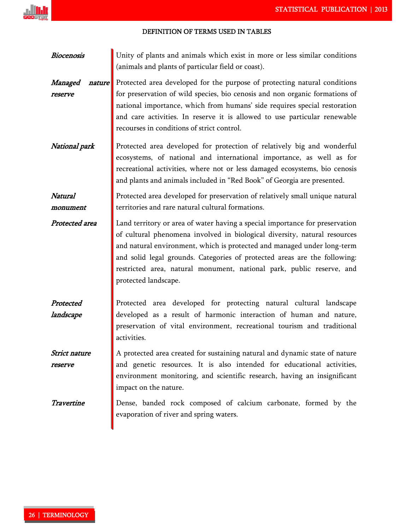| <b>Biocenosis</b>            | Unity of plants and animals which exist in more or less similar conditions<br>(animals and plants of particular field or coast).                                                                                                                                                                                                                                                                                   |
|------------------------------|--------------------------------------------------------------------------------------------------------------------------------------------------------------------------------------------------------------------------------------------------------------------------------------------------------------------------------------------------------------------------------------------------------------------|
| Managed<br>nature<br>reserve | Protected area developed for the purpose of protecting natural conditions<br>for preservation of wild species, bio cenosis and non organic formations of<br>national importance, which from humans' side requires special restoration<br>and care activities. In reserve it is allowed to use particular renewable<br>recourses in conditions of strict control.                                                   |
| National park                | Protected area developed for protection of relatively big and wonderful<br>ecosystems, of national and international importance, as well as for<br>recreational activities, where not or less damaged ecosystems, bio cenosis<br>and plants and animals included in "Red Book" of Georgia are presented.                                                                                                           |
| Natural<br>monument          | Protected area developed for preservation of relatively small unique natural<br>territories and rare natural cultural formations.                                                                                                                                                                                                                                                                                  |
| Protected area               | Land territory or area of water having a special importance for preservation<br>of cultural phenomena involved in biological diversity, natural resources<br>and natural environment, which is protected and managed under long-term<br>and solid legal grounds. Categories of protected areas are the following:<br>restricted area, natural monument, national park, public reserve, and<br>protected landscape. |
| Protected<br>landscape       | Protected area developed for protecting natural cultural landscape<br>developed as a result of harmonic interaction of human and nature,<br>preservation of vital environment, recreational tourism and traditional<br>activities.                                                                                                                                                                                 |
| Strict nature<br>reserve     | A protected area created for sustaining natural and dynamic state of nature<br>and genetic resources. It is also intended for educational activities,<br>environment monitoring, and scientific research, having an insignificant<br>impact on the nature.                                                                                                                                                         |
| Travertine                   | Dense, banded rock composed of calcium carbonate, formed by the<br>evaporation of river and spring waters.                                                                                                                                                                                                                                                                                                         |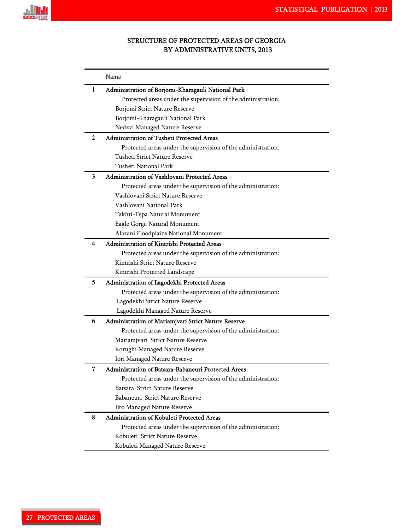

# STRUCTURE OF PROTECTED AREAS OF GEORGIA BY ADMINISTRATIVE UNITS, 2013

|   | Name                                                         |
|---|--------------------------------------------------------------|
| 1 | Administration of Borjomi-Kharagauli National Park           |
|   | Protected areas under the supervision of the administration: |
|   | Borjomi Strict Nature Reserve                                |
|   | Borjomi-Kharagauli National Park                             |
|   | Nedzvi Managed Nature Reserve                                |
| 2 | Administration of Tusheti Protected Areas                    |
|   | Protected areas under the supervision of the administration: |
|   | Tusheti Strict Nature Reserve                                |
|   | Tusheti National Park                                        |
| 3 | Administration of Vashlovani Protected Areas                 |
|   | Protected areas under the supervision of the administration: |
|   | Vashlovani Strict Nature Reserve                             |
|   | Vashlovani National Park                                     |
|   | Takhti-Tepa Natural Monument                                 |
|   | Eagle Gorge Natural Monument                                 |
|   | Alazani Floodplains National Monument                        |
| 4 | Administration of Kintrishi Protected Areas                  |
|   | Protected areas under the supervision of the administration: |
|   | Kintrishi Strict Nature Reserve                              |
|   | Kintrishi Protected Landscape                                |
| 5 | Administration of Lagodekhi Protected Areas                  |
|   | Protected areas under the supervision of the administration: |
|   | Lagodekhi Strict Nature Reserve                              |
|   | Lagodekhi Managed Nature Reserve                             |
| 6 | Administration of Mariamjvari Strict Nature Reserve          |
|   | Protected areas under the supervision of the administration: |
|   | Mariamjvari Strict Nature Reserve                            |
|   | Korughi Managed Nature Reserve                               |
|   | Iori Managed Nature Reserve                                  |
| 7 | Administration of Batsara-Babaneuri Protected Areas          |
|   | Protected areas under the supervision of the administration: |
|   | Batsara Strict Nature Reserve                                |
|   | Babaneuri Strict Nature Reserve                              |
|   | Ilto Managed Nature Reserve                                  |
| 8 | Administration of Kobuleti Protected Areas                   |
|   | Protected areas under the supervision of the administration: |
|   | Kobuleti Strict Nature Reserve                               |
|   | Kobuleti Managed Nature Reserve                              |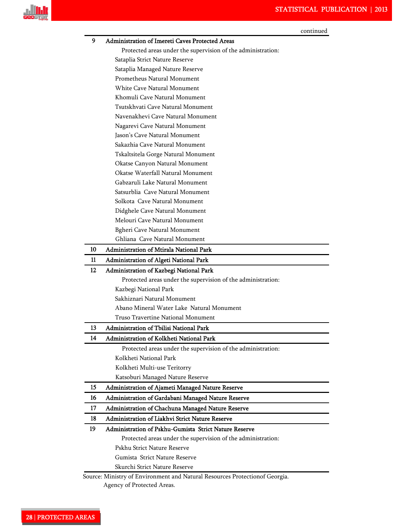

| 9<br>Administration of Imereti Caves Protected Areas<br>Protected areas under the supervision of the administration:<br>Sataplia Strict Nature Reserve<br>Sataplia Managed Nature Reserve<br>Prometheus Natural Monument<br>White Cave Natural Monument<br>Khomuli Cave Natural Monument<br>Tsutskhvati Cave Natural Monument<br>Navenakhevi Cave Natural Monument<br>Nagarevi Cave Natural Monument |  |
|------------------------------------------------------------------------------------------------------------------------------------------------------------------------------------------------------------------------------------------------------------------------------------------------------------------------------------------------------------------------------------------------------|--|
|                                                                                                                                                                                                                                                                                                                                                                                                      |  |
|                                                                                                                                                                                                                                                                                                                                                                                                      |  |
|                                                                                                                                                                                                                                                                                                                                                                                                      |  |
|                                                                                                                                                                                                                                                                                                                                                                                                      |  |
|                                                                                                                                                                                                                                                                                                                                                                                                      |  |
|                                                                                                                                                                                                                                                                                                                                                                                                      |  |
|                                                                                                                                                                                                                                                                                                                                                                                                      |  |
|                                                                                                                                                                                                                                                                                                                                                                                                      |  |
|                                                                                                                                                                                                                                                                                                                                                                                                      |  |
|                                                                                                                                                                                                                                                                                                                                                                                                      |  |
| Jason's Cave Natural Monument                                                                                                                                                                                                                                                                                                                                                                        |  |
| Sakazhia Cave Natural Monument                                                                                                                                                                                                                                                                                                                                                                       |  |
| Tskaltsitela Gorge Natural Monument                                                                                                                                                                                                                                                                                                                                                                  |  |
| Okatse Canyon Natural Monument                                                                                                                                                                                                                                                                                                                                                                       |  |
| Okatse Waterfall Natural Monument                                                                                                                                                                                                                                                                                                                                                                    |  |
| Gabzaruli Lake Natural Monument                                                                                                                                                                                                                                                                                                                                                                      |  |
| Satsurblia Cave Natural Monument                                                                                                                                                                                                                                                                                                                                                                     |  |
| Solkota Cave Natural Monument                                                                                                                                                                                                                                                                                                                                                                        |  |
| Didghele Cave Natural Monument                                                                                                                                                                                                                                                                                                                                                                       |  |
| Melouri Cave Natural Monument                                                                                                                                                                                                                                                                                                                                                                        |  |
| <b>Bgheri Cave Natural Monument</b>                                                                                                                                                                                                                                                                                                                                                                  |  |
| Ghliana Cave Natural Monument                                                                                                                                                                                                                                                                                                                                                                        |  |
| 10<br><b>Administration of Mtirala National Park</b>                                                                                                                                                                                                                                                                                                                                                 |  |
| 11<br>Administration of Algeti National Park                                                                                                                                                                                                                                                                                                                                                         |  |
| 12<br>Administration of Kazbegi National Park                                                                                                                                                                                                                                                                                                                                                        |  |
| Protected areas under the supervision of the administration:                                                                                                                                                                                                                                                                                                                                         |  |
| Kazbegi National Park                                                                                                                                                                                                                                                                                                                                                                                |  |
| Sakhiznari Natural Monument                                                                                                                                                                                                                                                                                                                                                                          |  |
| Abano Mineral Water Lake Natural Monument                                                                                                                                                                                                                                                                                                                                                            |  |
| Truso Travertine National Monument                                                                                                                                                                                                                                                                                                                                                                   |  |
| 13<br>Administration of Thilisi National Park                                                                                                                                                                                                                                                                                                                                                        |  |
| Administration of Kolkheti National Park<br>14                                                                                                                                                                                                                                                                                                                                                       |  |
| Protected areas under the supervision of the administration:                                                                                                                                                                                                                                                                                                                                         |  |
| Kolkheti National Park                                                                                                                                                                                                                                                                                                                                                                               |  |
| Kolkheti Multi-use Teritorry                                                                                                                                                                                                                                                                                                                                                                         |  |
| Katsoburi Managed Nature Reserve                                                                                                                                                                                                                                                                                                                                                                     |  |
| 15<br>Administration of Ajameti Managed Nature Reserve                                                                                                                                                                                                                                                                                                                                               |  |
| 16<br>Administration of Gardabani Managed Nature Reserve                                                                                                                                                                                                                                                                                                                                             |  |
| Administration of Chachuna Managed Nature Reserve<br>17                                                                                                                                                                                                                                                                                                                                              |  |
| Administration of Liakhvi Strict Nature Reserve<br>18                                                                                                                                                                                                                                                                                                                                                |  |
| 19<br>Administration of Pskhu-Gumista Strict Nature Reserve                                                                                                                                                                                                                                                                                                                                          |  |
|                                                                                                                                                                                                                                                                                                                                                                                                      |  |
| Protected areas under the supervision of the administration:                                                                                                                                                                                                                                                                                                                                         |  |
| Pskhu Strict Nature Reserve                                                                                                                                                                                                                                                                                                                                                                          |  |
| Gumista Strict Nature Reserve                                                                                                                                                                                                                                                                                                                                                                        |  |
| Skurchi Strict Nature Reserve                                                                                                                                                                                                                                                                                                                                                                        |  |

Agency of Protected Areas.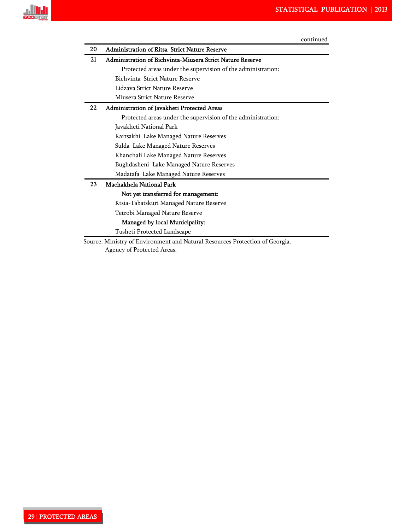

| 20 | <b>Administration of Ritsa Strict Nature Reserve</b>         |
|----|--------------------------------------------------------------|
| 21 | Administration of Bichvinta-Miusera Strict Nature Reserve    |
|    | Protected areas under the supervision of the administration: |
|    | Bichvinta Strict Nature Reserve                              |
|    | Lidzava Strict Nature Reserve                                |
|    | Miusera Strict Nature Reserve                                |
| 22 | Administration of Javakheti Protected Areas                  |
|    | Protected areas under the supervision of the administration: |
|    | Javakheti National Park                                      |
|    | Kartsakhi Lake Managed Nature Reserves                       |
|    | Sulda Lake Managed Nature Reserves                           |
|    | Khanchali Lake Managed Nature Reserves                       |
|    | Bughdasheni Lake Managed Nature Reserves                     |
|    | Madatafa Lake Managed Nature Reserves                        |
| 23 | Machakhela National Park                                     |
|    | Not yet transferred for management:                          |
|    | Ktsia-Tabatskuri Managed Nature Reserve                      |
|    | Tetrobi Managed Nature Reserve                               |
|    | Managed by local Municipality:                               |
|    | Tusheti Protected Landscape                                  |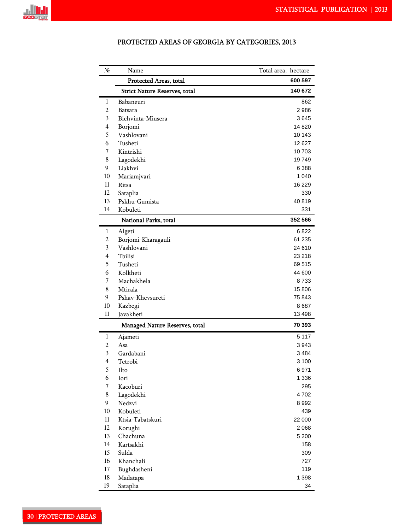

| N∘             | Name                                 | Total area, hectare |
|----------------|--------------------------------------|---------------------|
|                | Protected Areas, total               | 600 597             |
|                | <b>Strict Nature Reserves, total</b> | 140 672             |
| 1              | Babaneuri                            | 862                 |
| $\overline{2}$ | Batsara                              | 2986                |
| 3              | Bichvinta-Miusera                    | 3645                |
| 4              | Borjomi                              | 14 8 20             |
| 5              | Vashlovani                           | 10 143              |
| 6              | Tusheti                              | 12627               |
| 7              | Kintrishi                            | 10703               |
| 8              | Lagodekhi                            | 19749               |
| 9              | Liakhvi                              | 6 3 8 8             |
| 10             | Mariamjvari                          | 1 040               |
| 11             | Ritsa                                | 16 229              |
| 12             | Sataplia                             | 330                 |
| 13             | Pskhu-Gumista                        | 40819               |
| 14             | Kobuleti                             | 331                 |
|                | National Parks, total                | 352 566             |
| 1              | Algeti                               | 6 822               |
| 2              | Borjomi-Kharagauli                   | 61 235              |
| 3              | Vashlovani                           | 24 610              |
| $\overline{4}$ | Tbilisi                              | 23 218              |
| 5              | Tusheti                              | 69 515              |
| 6              | Kolkheti                             | 44 600              |
| 7              | Machakhela                           | 8733                |
| 8              | Mtirala                              | 15 806              |
| 9              | Pshav-Khevsureti                     | 75 843              |
| 10             | Kazbegi                              | 8687                |
| 11             | Javakheti                            | 13 498<br>70 393    |
|                | Managed Nature Reserves, total       |                     |
| 1<br>2         | Ajameti<br>Asa                       | 5 1 1 7<br>3943     |
| 3              | Gardabani                            | 3484                |
| 4              | Tetrobi                              | 3 100               |
| 5              | Ilto                                 | 6971                |
| 6              | Iori                                 | 1 3 3 6             |
| 7              | Kacoburi                             | 295                 |
| 8              | Lagodekhi                            | 4702                |
| $\mathbf{9}$   | Nedzvi                               | 8992                |
| 10             | Kobuleti                             | 439                 |
| $11\,$         | Ktsia-Tabatskuri                     | 22 000              |
| 12             | Korughi                              | 2068                |
| 13             | Chachuna                             | 5 200               |
| 14             | Kartsakhi                            | 158                 |
| 15             | Sulda                                | 309                 |
| 16             | Khanchali                            | 727                 |
| 17             | Bughdasheni                          | 119                 |
| 18             | Madatapa                             | 1 3 9 8             |
| 19             | Sataplia                             | 34                  |
|                |                                      |                     |

# PROTECTED AREAS OF GEORGIA BY CATEGORIES, 2013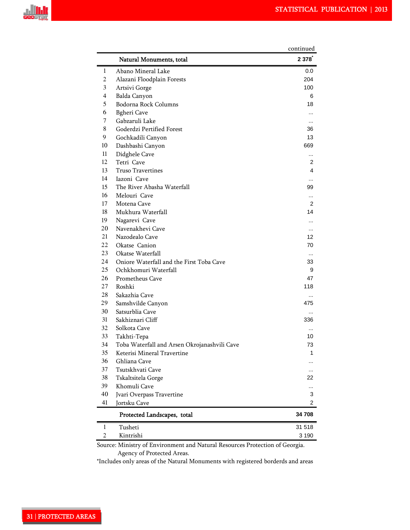

|          |                                                                                  | continued      |
|----------|----------------------------------------------------------------------------------|----------------|
|          | Natural Monuments, total                                                         | 2 378          |
| 1        | Abano Mineral Lake                                                               | 0.0            |
| 2        | Alazani Floodplain Forests                                                       | 204            |
| 3        | Artsivi Gorge                                                                    | 100            |
| 4        | Balda Canyon                                                                     | 6              |
| 5        | Bodorna Rock Columns                                                             | 18             |
| 6        | <b>Bgheri</b> Cave                                                               |                |
| 7        | Gabzaruli Lake                                                                   |                |
| 8        | Goderdzi Pertified Forest                                                        | 36             |
| 9        | Gochkadili Canyon                                                                | 13             |
| 10       | Dashbashi Canyon                                                                 | 669            |
| 11<br>12 | Didghele Cave                                                                    | $\ddotsc$      |
| 13       | Tetri Cave<br>Truso Travertines                                                  | 2<br>4         |
| 14       | Iazoni Cave                                                                      |                |
| 15       | The River Abasha Waterfall                                                       | $\cdots$<br>99 |
| 16       | Melouri Cave                                                                     |                |
| 17       | Motena Cave                                                                      | <br>2          |
| 18       | Mukhura Waterfall                                                                | 14             |
| 19       | Nagarevi Cave                                                                    |                |
| 20       | Navenakhevi Cave                                                                 | $\cdots$       |
| 21       | Nazodealo Cave                                                                   | 12             |
| 22       | Okatse Canion                                                                    | 70             |
| 23       | Okatse Waterfall                                                                 | $\ddotsc$      |
| 24       | Oniore Waterfall and the First Toba Cave                                         | 33             |
| 25       | Ochkhomuri Waterfall                                                             | 9              |
| 26       | Prometheus Cave                                                                  | 47             |
| 27       | Roshki                                                                           | 118            |
| 28       | Sakazhia Cave                                                                    |                |
| 29       | Samshvilde Canyon                                                                | 475            |
| 30       | Satsurblia Cave                                                                  | $\ddotsc$      |
| 31       | Sakhiznari Cliff                                                                 | 336            |
| 32       | Solkota Cave                                                                     |                |
| 33       | Takhti-Tepa                                                                      | 10             |
| 34       | Toba Waterfall and Arsen Okrojanashvili Cave                                     | 73             |
| 35       | Keterisi Mineral Travertine                                                      | 1              |
| 36       | Ghliana Cave                                                                     |                |
| 37       | Tsutskhvati Cave                                                                 |                |
| 38<br>39 | Tskaltsitela Gorge                                                               | 22             |
| 40       | Khomuli Cave                                                                     |                |
| 41       | Jvari Overpass Travertine<br>Jortsku Cave                                        | 3<br>2         |
|          |                                                                                  | 34 708         |
|          | Protected Landscapes, total                                                      |                |
| 1        | Tusheti                                                                          | 31 518         |
| 2        | Kintrishi<br>Ministry of Environment and Natural Pesquises Protection of Ceorgia | 3 190          |

 Source: Ministry of Environment and Natural Resources Protection of Georgia. Agency of Protected Areas.

\*Includes only areas of the Natural Monuments with registered borderds and areas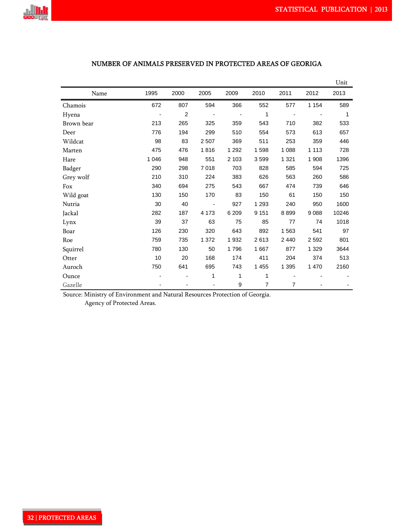

|                          |         |                |                          |             |         |                |         | Unit  |
|--------------------------|---------|----------------|--------------------------|-------------|---------|----------------|---------|-------|
| Name                     | 1995    | 2000           | 2005                     | 2009        | 2010    | 2011           | 2012    | 2013  |
| Chamois                  | 672     | 807            | 594                      | 366         | 552     | 577            | 1 1 5 4 | 589   |
| Hyena                    |         | $\overline{c}$ |                          |             | 1       |                |         | 1     |
| Brown bear               | 213     | 265            | 325                      | 359         | 543     | 710            | 382     | 533   |
| Deer                     | 776     | 194            | 299                      | 510         | 554     | 573            | 613     | 657   |
| Wildcat                  | 98      | 83             | 2 5 0 7                  | 369         | 511     | 253            | 359     | 446   |
| Marten                   | 475     | 476            | 1816                     | 1 2 9 2     | 1598    | 1 0 8 8        | 1 1 1 3 | 728   |
| Hare                     | 1 0 4 6 | 948            | 551                      | 2 1 0 3     | 3599    | 1 3 2 1        | 1 908   | 1396  |
| Badger                   | 290     | 298            | 7018                     | 703         | 828     | 585            | 594     | 725   |
| Grey wolf                | 210     | 310            | 224                      | 383         | 626     | 563            | 260     | 586   |
| Fox                      | 340     | 694            | 275                      | 543         | 667     | 474            | 739     | 646   |
| Wild goat                | 130     | 150            | 170                      | 83          | 150     | 61             | 150     | 150   |
| Nutria                   | 30      | 40             | $\overline{\phantom{a}}$ | 927         | 1 2 9 3 | 240            | 950     | 1600  |
| Jackal                   | 282     | 187            | 4 173                    | 6 2 0 9     | 9 1 5 1 | 8899           | 9088    | 10246 |
| Lynx                     | 39      | 37             | 63                       | 75          | 85      | 77             | 74      | 1018  |
| Boar                     | 126     | 230            | 320                      | 643         | 892     | 1563           | 541     | 97    |
| Roe                      | 759     | 735            | 1 372                    | 1932        | 2613    | 2 4 4 0        | 2 5 9 2 | 801   |
| Squirrel                 | 780     | 130            | 50                       | 1796        | 1667    | 877            | 1 3 2 9 | 3644  |
| Otter                    | 10      | 20             | 168                      | 174         | 411     | 204            | 374     | 513   |
| Auroch                   | 750     | 641            | 695                      | 743         | 1 4 5 5 | 1 3 9 5        | 1 470   | 2160  |
| Ounce                    |         |                | 1                        | 1           | 1       |                |         |       |
| Gazelle<br>$\sim$ $\sim$ | 1.37    |                |                          | 9<br>$\sim$ | 7       | $\overline{7}$ |         |       |

# NUMBER OF ANIMALS PRESERVED IN PROTECTED AREAS OF GEORIGA

Source: Ministry of Environment and Natural Resources Protection of Georgia.

Agency of Protected Areas.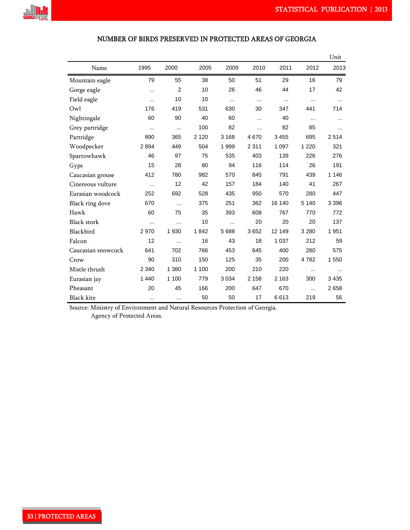

| Name               | 1995      | 2000           | 2005    | 2009      | 2010     | 2011     | 2012     | 2013     |
|--------------------|-----------|----------------|---------|-----------|----------|----------|----------|----------|
| Mountain eagle     | 79        | 55             | 38      | 50        | 51       | 29       | 16       | 79       |
| Gorge eagle        | .         | $\overline{2}$ | 10      | 26        | 46       | 44       | 17       | 42       |
| Field eagle        | $\cdots$  | 10             | 10      | $\ddotsc$ | $\cdots$ | $\cdots$ | $\cdots$ | $\cdots$ |
| Owl                | 176       | 419            | 531     | 630       | 30       | 347      | 441      | 714      |
| Nightingale        | 60        | 90             | 40      | 60        | $\cdots$ | 40       | $\cdots$ |          |
| Grey partridge     |           | $\cdots$       | 100     | 82        | $\cdots$ | 82       | 85       | $\cdots$ |
| Partridge          | 890       | 365            | 2 1 2 0 | 3 1 6 8   | 4670     | 3 4 5 5  | 695      | 2514     |
| Woodpecker         | 2894      | 449            | 504     | 1999      | 2 3 1 1  | 1 0 9 7  | 1 2 2 0  | 321      |
| Sparrowhawk        | 46        | 97             | 75      | 535       | 403      | 139      | 226      | 276      |
| Gyps               | 15        | 28             | 80      | 94        | 116      | 114      | 26       | 191      |
| Caucasian grouse   | 412       | 780            | 982     | 570       | 845      | 791      | 439      | 1 1 4 6  |
| Cinereous vulture  | $\cdots$  | 12             | 42      | 157       | 184      | 140      | 41       | 267      |
| Eurasian woodcock  | 252       | 692            | 528     | 435       | 950      | 570      | 280      | 447      |
| Black ring dove    | 670       | $\cdots$       | 375     | 251       | 362      | 16 140   | 5 1 4 0  | 3 3 9 6  |
| Hawk               | 60        | 75             | 35      | 393       | 608      | 767      | 770      | 772      |
| <b>Black stork</b> | $\cdots$  | $\cdots$       | 10      |           | 20       | 20       | 20       | 137      |
| Blackbird          | 2970      | 1930           | 1842    | 5 6 8 8   | 3652     | 12 149   | 3 2 8 0  | 1951     |
| Falcon             | 12        | $\cdots$       | 16      | 43        | 18       | 1 0 3 7  | 212      | 59       |
| Caucasian snowcock | 641       | 702            | 766     | 453       | 645      | 400      | 280      | 575      |
| Crow               | 90        | 310            | 150     | 125       | 35       | 200      | 4782     | 1 550    |
| Mistle thrush      | 2 3 4 0   | 1 380          | 1 100   | 200       | 210      | 220      | $\cdots$ | $\cdots$ |
| Eurasian jay       | 1 4 4 0   | 1 100          | 779     | 3 0 3 4   | 2 1 5 8  | 2 1 6 3  | 300      | 3 4 3 5  |
| Pheasant           | 20        | 45             | 166     | 200       | 647      | 670      | $\cdots$ | 2658     |
| <b>Black kite</b>  | $\ddotsc$ | $\cdots$       | 50      | 50        | 17       | 6613     | 219      | 56       |

# NUMBER OF BIRDS PRESERVED IN PROTECTED AREAS OF GEORGIA

**Unit** Contract of the Contract of the Contract of the Contract of the Contract of the Contract of the Contract of the Contract of the Contract of the Contract of the Contract of the Contract of the Contract of the Contrac

 Source: Ministry of Environment and Natural Resources Protection of Georgia. Agency of Protected Areas.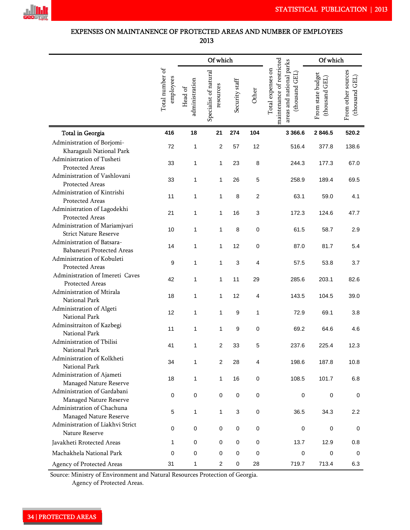

# EXPENSES ON MAINTANENCE OF PROTECTED AREAS AND NUMBER OF EMPLOYEES 2013!

|                                                                          |                              | Of which                  |                                    |                |                | Of which                                                                                        |                                     |                                      |
|--------------------------------------------------------------------------|------------------------------|---------------------------|------------------------------------|----------------|----------------|-------------------------------------------------------------------------------------------------|-------------------------------------|--------------------------------------|
|                                                                          | Total number of<br>employees | administration<br>Head of | Specialist of natural<br>resources | Security staff | Other          | maintenance of restricted<br>areas and national parks<br>Total expenses on<br>GEL)<br>(thousand | From state budget<br>(thousand GEL) | From other sources<br>(thousand GEL) |
| Total in Georgia                                                         | 416                          | 18                        | 21                                 | 274            | 104            | 3 3 6 6.6                                                                                       | 2 846.5                             | 520.2                                |
| Administration of Borjomi-                                               | 72                           | 1                         | $\overline{2}$                     | 57             | 12             | 516.4                                                                                           | 377.8                               | 138.6                                |
| Kharagauli National Park<br>Administration of Tusheti<br>Protected Areas | 33                           | 1                         | 1                                  | 23             | 8              | 244.3                                                                                           | 177.3                               | 67.0                                 |
| Administration of Vashlovani<br>Protected Areas                          | 33                           | 1                         | 1                                  | 26             | 5              | 258.9                                                                                           | 189.4                               | 69.5                                 |
| Administration of Kintrishi<br>Protected Areas                           | 11                           | 1                         | 1                                  | 8              | $\overline{c}$ | 63.1                                                                                            | 59.0                                | 4.1                                  |
| Administration of Lagodekhi<br>Protected Areas                           | 21                           | 1                         | 1                                  | 16             | 3              | 172.3                                                                                           | 124.6                               | 47.7                                 |
| Administration of Mariamjvari<br><b>Strict Nature Reserve</b>            | 10                           | 1                         | 1                                  | 8              | $\mathbf 0$    | 61.5                                                                                            | 58.7                                | 2.9                                  |
| Administration of Batsara-<br>Babaneuri Protected Areas                  | 14                           | 1                         | 1                                  | 12             | $\pmb{0}$      | 87.0                                                                                            | 81.7                                | 5.4                                  |
| Administration of Kobuleti<br>Protected Areas                            | 9                            | 1                         | 1                                  | 3              | 4              | 57.5                                                                                            | 53.8                                | 3.7                                  |
| Administration of Imereti Caves<br>Protected Areas                       | 42                           | 1                         | $\mathbf{1}$                       | 11             | 29             | 285.6                                                                                           | 203.1                               | 82.6                                 |
| Administration of Mtirala<br>National Park                               | 18                           | 1                         | 1                                  | 12             | 4              | 143.5                                                                                           | 104.5                               | 39.0                                 |
| Administration of Algeti<br>National Park                                | 12                           | 1                         | 1                                  | 9              | 1              | 72.9                                                                                            | 69.1                                | 3.8                                  |
| Adminsitraiton of Kazbegi<br>National Park                               | 11                           | 1                         | $\mathbf{1}$                       | 9              | $\mathbf 0$    | 69.2                                                                                            | 64.6                                | 4.6                                  |
| Administration of Tbilisi<br>National Park                               | 41                           | 1                         | $\overline{2}$                     | 33             | 5              | 237.6                                                                                           | 225.4                               | 12.3                                 |
| Administration of Kolkheti<br>National Park                              | 34                           | 1                         | $\overline{2}$                     | 28             | 4              | 198.6                                                                                           | 187.8                               | 10.8                                 |
| Administration of Ajameti<br>Managed Nature Reserve                      | 18                           | 1                         | 1                                  | 16             | $\pmb{0}$      | 108.5                                                                                           | 101.7                               | 6.8                                  |
| Administration of Gardabani<br>Managed Nature Reserve                    | 0                            | $\pmb{0}$                 | 0                                  | $\pmb{0}$      | $\pmb{0}$      | 0                                                                                               | $\pmb{0}$                           | 0                                    |
| Administration of Chachuna<br>Managed Nature Reserve                     | 5                            | 1                         | 1                                  | 3              | $\mathbf 0$    | 36.5                                                                                            | 34.3                                | 2.2                                  |
| Administration of Liakhvi Strict<br>Nature Reserve                       | 0                            | $\pmb{0}$                 | 0                                  | $\pmb{0}$      | $\mathbf 0$    | $\pmb{0}$                                                                                       | $\pmb{0}$                           | 0                                    |
| Javakheti Rrotected Areas                                                | 1                            | $\pmb{0}$                 | 0                                  | 0              | $\mathbf 0$    | 13.7                                                                                            | 12.9                                | 0.8                                  |
| Machakhela National Park                                                 | 0                            | $\mathbf 0$               | 0                                  | $\pmb{0}$      | $\pmb{0}$      | 0                                                                                               | 0                                   | 0                                    |
| Agency of Protected Areas                                                | 31                           | 1                         | 2                                  | $\pmb{0}$      | 28             | 719.7                                                                                           | 713.4                               | 6.3                                  |

Source: Ministry of Environment and Natural Resources Protection of Georgia.

Agency of Protected Areas.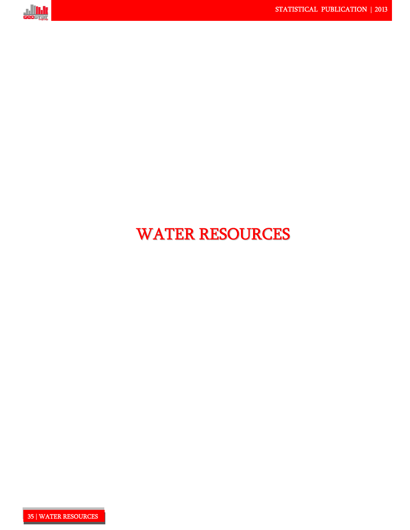

# WATER RESOURCES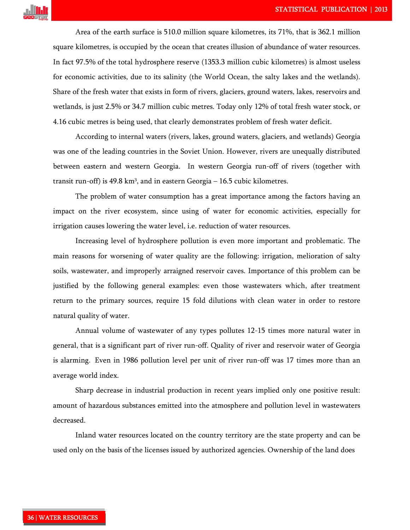

Area of the earth surface is 510.0 million square kilometres, its 71%, that is 362.1 million square kilometres, is occupied by the ocean that creates illusion of abundance of water resources. In fact 97.5% of the total hydrosphere reserve (1353.3 million cubic kilometres) is almost useless for economic activities, due to its salinity (the World Ocean, the salty lakes and the wetlands). Share of the fresh water that exists in form of rivers, glaciers, ground waters, lakes, reservoirs and wetlands, is just 2.5% or 34.7 million cubic metres. Today only 12% of total fresh water stock, or 4.16 cubic metres is being used, that clearly demonstrates problem of fresh water deficit.

According to internal waters (rivers, lakes, ground waters, glaciers, and wetlands) Georgia was one of the leading countries in the Soviet Union. However, rivers are unequally distributed between eastern and western Georgia. In western Georgia run-off of rivers (together with transit run-off) is 49.8 km<sup>3</sup>, and in eastern Georgia – 16.5 cubic kilometres.

The problem of water consumption has a great importance among the factors having an impact on the river ecosystem, since using of water for economic activities, especially for irrigation causes lowering the water level, i.e. reduction of water resources.

Increasing level of hydrosphere pollution is even more important and problematic. The main reasons for worsening of water quality are the following: irrigation, melioration of salty soils, wastewater, and improperly arraigned reservoir caves. Importance of this problem can be justified by the following general examples: even those wastewaters which, after treatment return to the primary sources, require 15 fold dilutions with clean water in order to restore natural quality of water.

Annual volume of wastewater of any types pollutes 12-15 times more natural water in general, that is a significant part of river run-off. Quality of river and reservoir water of Georgia is alarming. Even in 1986 pollution level per unit of river run-off was 17 times more than an average world index.

Sharp decrease in industrial production in recent years implied only one positive result: amount of hazardous substances emitted into the atmosphere and pollution level in wastewaters decreased.

Inland water resources located on the country territory are the state property and can be used only on the basis of the licenses issued by authorized agencies. Ownership of the land does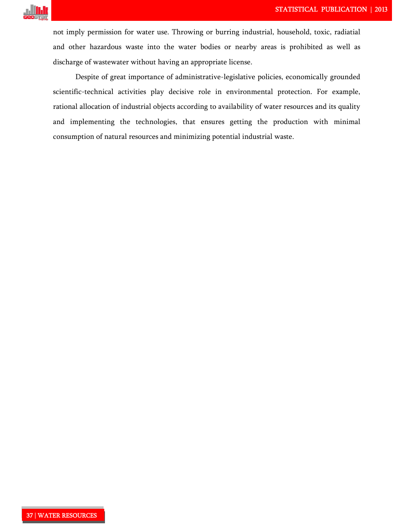

not imply permission for water use. Throwing or burring industrial, household, toxic, radiatial and other hazardous waste into the water bodies or nearby areas is prohibited as well as discharge of wastewater without having an appropriate license.

Despite of great importance of administrative-legislative policies, economically grounded scientific-technical activities play decisive role in environmental protection. For example, rational allocation of industrial objects according to availability of water resources and its quality and implementing the technologies, that ensures getting the production with minimal consumption of natural resources and minimizing potential industrial waste.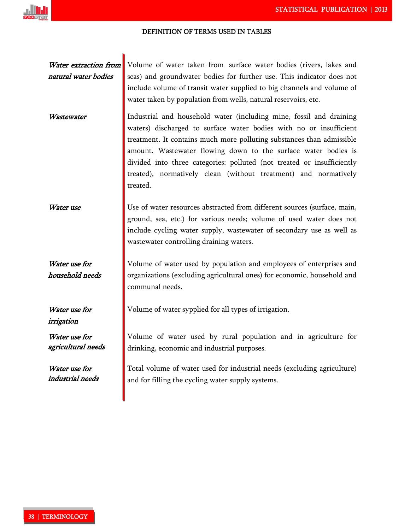#### DEFINITION OF TERMS USED IN TABLES!

Water extraction from natural water bodies Volume of water taken from surface water bodies (rivers, lakes and seas) and groundwater bodies for further use. This indicator does not include volume of transit water supplied to big channels and volume of water taken by population from wells, natural reservoirs, etc.

Wastewater **I** Industrial and household water (including mine, fossil and draining waters) discharged to surface water bodies with no or insufficient treatment. It contains much more polluting substances than admissible amount. Wastewater flowing down to the surface water bodies is divided into three categories: polluted (not treated or insufficiently treated), normatively clean (without treatment) and normatively treated.

Water use Use of water resources abstracted from different sources (surface, main, ground, sea, etc.) for various needs; volume of used water does not include cycling water supply, wastewater of secondary use as well as wastewater controlling draining waters.

Water use for household needs Volume of water used by population and employees of enterprises and organizations (excluding agricultural ones) for economic, household and communal needs.

Water use for irrigation

Water use for agricultural needs

Water use for industrial needs Volume of water sypplied for all types of irrigation.

Volume of water used by rural population and in agriculture for drinking, economic and industrial purposes.

Total volume of water used for industrial needs (excluding agriculture) and for filling the cycling water supply systems.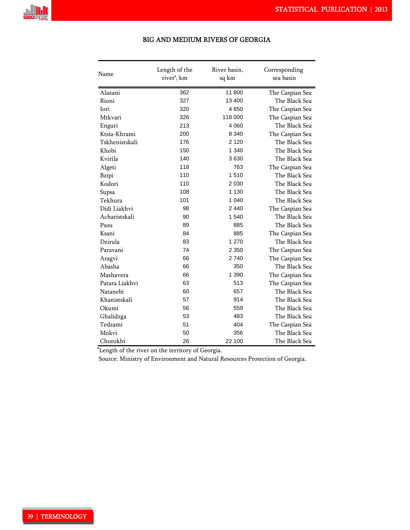

| Name           | Length of the<br>river', km | River basin,<br>sq km | Corresponding<br>sea basin |
|----------------|-----------------------------|-----------------------|----------------------------|
| Alazani        | 11800<br>362                |                       | The Caspian Sea            |
| Rioni          | 327                         | 13 400                | The Black Sea              |
| Iori           | 320                         | 4650                  | The Caspian Sea            |
| Mtkvari        | 326                         | 118 000               | The Caspian Sea            |
| Enguri         | 213                         | 4 0 6 0               | The Black Sea              |
| Ktsia-Khrami   | 200                         | 8 3 4 0               | The Caspian Sea            |
| Tskhenistskali | 176                         | 2 1 2 0               | The Black Sea              |
| Khobi          | 150                         | 1 3 4 0               | The Black Sea              |
| Kvirila        | 140                         | 3630                  | The Black Sea              |
| Algeti         | 118                         | 763                   | The Caspian Sea            |
| Bzipi          | 110                         | 1510                  | The Black Sea              |
| Kodori         | 110                         | 2 0 3 0               | The Black Sea              |
| Supsa          | 108                         | 1 1 3 0               | The Black Sea              |
| Tekhura        | 101                         | 1 040                 | The Black Sea              |
| Didi Liakhvi   | 98                          | 2 4 4 0               | The Caspian Sea            |
| Acharistskali  | 90                          | 1 540                 | The Black Sea              |
| Psou           | 89                          | 885                   | The Black Sea              |
| Ksani          | 84                          | 885                   | The Caspian Sea            |
| Dzirula        | 83                          | 1 270                 | The Black Sea              |
| Paravani       | 74                          | 2 3 5 0               | The Caspian Sea            |
| Aragvi         | 66                          | 2 740                 | The Caspian Sea            |
| Abasha         | 66                          | 350                   | The Black Sea              |
| Mashavera      | 66                          | 1 3 9 0               | The Caspian Sea            |
| Patara Liakhvi | 63                          | 513                   | The Caspian Sea            |
| Natanebi       | 60                          | 657                   | The Black Sea              |
| Khanistskali   | 57                          | 914                   | The Black Sea              |
| Okumi          | 56                          | 559                   | The Black Sea              |
| Ghalidzga      | 53                          | 483                   | The Black Sea              |
| Tedzami        | 51                          | 404                   | The Caspian Sea            |
| Mokvi          | 50                          | 356                   | The Black Sea              |
| Chorokhi       | 26                          | 22 100                | The Black Sea              |

### BIG AND MEDIUM RIVERS OF GEORGIA

\*Length of the river on the territory of Georgia.

Source: Ministry of Environment and Natural Resources Protection of Georgia.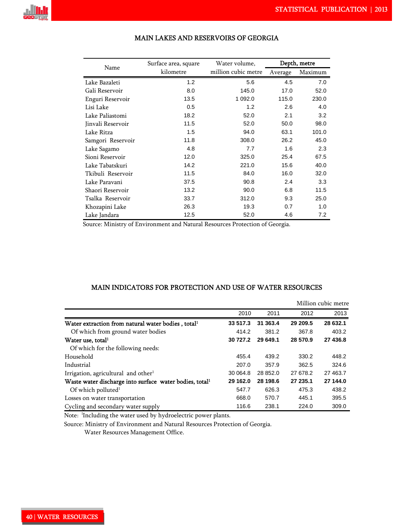

| Name              | Surface area, square | Water volume,       | Depth, metre |         |  |
|-------------------|----------------------|---------------------|--------------|---------|--|
|                   | kilometre            | million cubic metre | Average      | Maximum |  |
| Lake Bazaleti     | 1.2                  | 5.6                 | 4.5          | 7.0     |  |
| Gali Reservoir    | 8.0                  | 145.0               | 17.0         | 52.0    |  |
| Enguri Reservoir  | 13.5                 | 1 0 9 2.0           | 115.0        | 230.0   |  |
| Lisi Lake         | 0.5                  | 1.2                 | 2.6          | 4.0     |  |
| Lake Paliastomi   | 18.2                 | 52.0                | 2.1          | 3.2     |  |
| Jinvali Reservoir | 11.5                 | 52.0                | 50.0         | 98.0    |  |
| Lake Ritza        | 1.5                  | 94.0                | 63.1         | 101.0   |  |
| Samgori Reservoir | 11.8                 | 308.0               | 26.2         | 45.0    |  |
| Lake Sagamo       | 4.8                  | 7.7                 | 1.6          | 2.3     |  |
| Sioni Reservoir   | 12.0                 | 325.0               | 25.4         | 67.5    |  |
| Lake Tabatskuri   | 14.2                 | 221.0               | 15.6         | 40.0    |  |
| Tkibuli Reservoir | 11.5                 | 84.0                | 16.0         | 32.0    |  |
| Lake Paravani     | 37.5                 | 90.8                | 2.4          | 3.3     |  |
| Shaori Reservoir  | 13.2                 | 90.0                | 6.8          | 11.5    |  |
| Tsalka Reservoir  | 33.7                 | 312.0               | 9.3          | 25.0    |  |
| Khozapini Lake    | 26.3                 | 19.3                | 0.7          | 1.0     |  |
| Lake Jandara      | 12.5                 | 52.0                | 4.6          | 7.2     |  |

# MAIN LAKES AND RESERVOIRS OF GEORGIA

Source: Ministry of Environment and Natural Resources Protection of Georgia.

# MAIN INDICATORS FOR PROTECTION AND USE OF WATER RESOURCES

|                                                                     |          |          |          | Million cubic metre |
|---------------------------------------------------------------------|----------|----------|----------|---------------------|
|                                                                     | 2010     | 2011     | 2012     | 2013                |
| Water extraction from natural water bodies, total <sup>1</sup>      | 33 517.3 | 31 363.4 | 29 209.5 | 28 632.1            |
| Of which from ground water bodies                                   | 414.2    | 381.2    | 367.8    | 403.2               |
| Water use, total <sup>1</sup>                                       | 30 727.2 | 29 649.1 | 28 570.9 | 27 436.8            |
| Of which for the following needs:                                   |          |          |          |                     |
| Household                                                           | 455.4    | 439.2    | 330.2    | 448.2               |
| Industrial                                                          | 207.0    | 357.9    | 362.5    | 324.6               |
| Irrigation, agricultural and other <sup>1</sup>                     | 30 064.8 | 28 852.0 | 27 678.2 | 27 463.7            |
| Waste water discharge into surface water bodies, total <sup>1</sup> | 29 162.0 | 28 198.6 | 27 235.1 | 27 144.0            |
| Of which polluted <sup>1</sup>                                      | 547.7    | 626.3    | 475.3    | 438.2               |
| Losses on water transportation                                      | 668.0    | 570.7    | 445.1    | 395.5               |
| Cycling and secondary water supply                                  | 116.6    | 238.1    | 224.0    | 309.0               |

Note: <sup>1</sup>Including the water used by hydroelectric power plants.

Source: Ministry of Environment and Natural Resources Protection of Georgia.

Water Resources Management Office.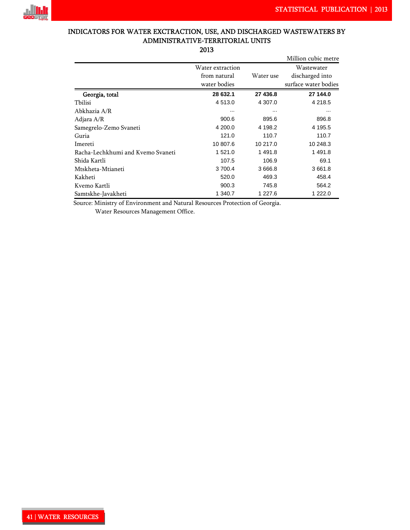

# INDICATORS FOR WATER EXCTRACTION, USE, AND DISCHARGED WASTEWATERS BY ADMINISTRATIVE-TERRITORIAL UNITS

2013

|                                   |                  |            | Million cubic metre  |
|-----------------------------------|------------------|------------|----------------------|
|                                   | Water extraction |            | Wastewater           |
|                                   | from natural     | Water use  | discharged into      |
|                                   | water bodies     |            | surface water bodies |
| Georgia, total                    | 28 632.1         | 27 436.8   | 27 144.0             |
| Tbilisi                           | 4 513.0          | 4 307.0    | 4 2 1 8 .5           |
| Abkhazia A/R                      | $\cdots$         |            |                      |
| Adjara A/R                        | 900.6            | 895.6      | 896.8                |
| Samegrelo-Zemo Svaneti            | 4 200.0          | 4 198.2    | 4 195.5              |
| Guria                             | 121.0            | 110.7      | 110.7                |
| Imereti                           | 10 807.6         | 10 217.0   | 10 248.3             |
| Racha-Lechkhumi and Kvemo Svaneti | 1 521.0          | 1 491.8    | 1491.8               |
| Shida Kartli                      | 107.5            | 106.9      | 69.1                 |
| Mtskheta-Mtianeti                 | 3 700.4          | 3 6 6 6 .8 | 3661.8               |
| Kakheti                           | 520.0            | 469.3      | 458.4                |
| Kvemo Kartli                      | 900.3            | 745.8      | 564.2                |
| Samtskhe-Javakheti                | 1 340.7          | 1 227.6    | 1 222.0              |

Source: Ministry of Environment and Natural Resources Protection of Georgia.

Water Resources Management Office.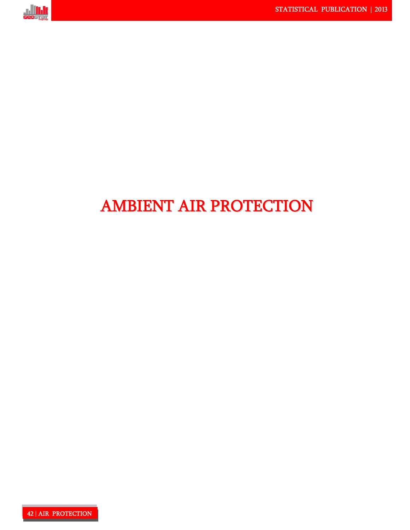

# AMBIENT AIR PROTECTION

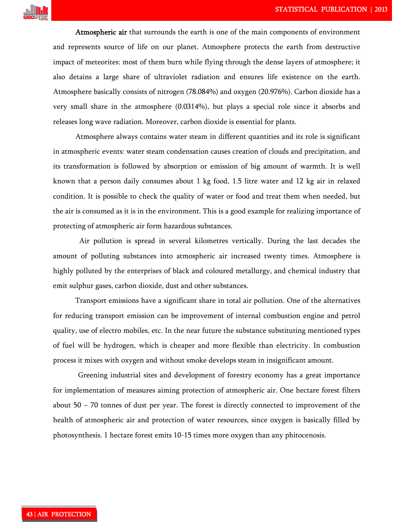

Atmospheric air that surrounds the earth is one of the main components of environment and represents source of life on our planet. Atmosphere protects the earth from destructive impact of meteorites: most of them burn while flying through the dense layers of atmosphere; it also detains a large share of ultraviolet radiation and ensures life existence on the earth. Atmosphere basically consists of nitrogen (78.084%) and oxygen (20.976%). Carbon dioxide has a very small share in the atmosphere (0.0314%), but plays a special role since it absorbs and releases long wave radiation. Moreover, carbon dioxide is essential for plants.

Atmosphere always contains water steam in different quantities and its role is significant in atmospheric events: water steam condensation causes creation of clouds and precipitation, and its transformation is followed by absorption or emission of big amount of warmth. It is well known that a person daily consumes about 1 kg food, 1.5 litre water and 12 kg air in relaxed condition. It is possible to check the quality of water or food and treat them when needed, but the air is consumed as it is in the environment. This is a good example for realizing importance of protecting of atmospheric air form hazardous substances.

Air pollution is spread in several kilometres vertically. During the last decades the amount of polluting substances into atmospheric air increased twenty times. Atmosphere is highly polluted by the enterprises of black and coloured metallurgy, and chemical industry that emit sulphur gases, carbon dioxide, dust and other substances.

Transport emissions have a significant share in total air pollution. One of the alternatives for reducing transport emission can be improvement of internal combustion engine and petrol quality, use of electro mobiles, etc. In the near future the substance substituting mentioned types of fuel will be hydrogen, which is cheaper and more flexible than electricity. In combustion process it mixes with oxygen and without smoke develops steam in insignificant amount.

Greening industrial sites and development of forestry economy has a great importance for implementation of measures aiming protection of atmospheric air. One hectare forest filters about 50 – 70 tonnes of dust per year. The forest is directly connected to improvement of the health of atmospheric air and protection of water resources, since oxygen is basically filled by photosynthesis. 1 hectare forest emits 10-15 times more oxygen than any phitocenosis.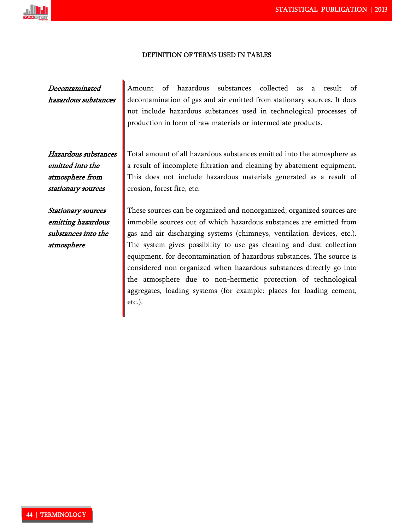

#### DEFINITION OF TERMS USED IN TABLES

Decontaminated hazardous substances

Hazardous substances emitted into the atmosphere from stationary sources

Stationary sources emitting hazardous substances into the atmosphere

Amount of hazardous substances collected as a result of decontamination of gas and air emitted from stationary sources. It does not include hazardous substances used in technological processes of production in form of raw materials or intermediate products.

Total amount of all hazardous substances emitted into the atmosphere as a result of incomplete filtration and cleaning by abatement equipment. This does not include hazardous materials generated as a result of erosion, forest fire, etc.

These sources can be organized and nonorganized; organized sources are immobile sources out of which hazardous substances are emitted from gas and air discharging systems (chimneys, ventilation devices, etc.). The system gives possibility to use gas cleaning and dust collection equipment, for decontamination of hazardous substances. The source is considered non-organized when hazardous substances directly go into the atmosphere due to non-hermetic protection of technological aggregates, loading systems (for example: places for loading cement, etc.).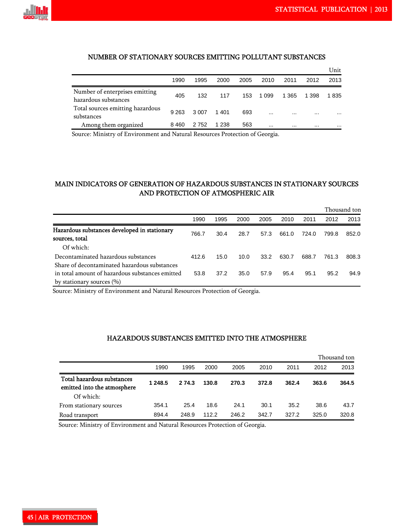

#### NUMBER OF STATIONARY SOURCES EMITTING POLLUTANT SUBSTANCES!

|                                                        |         |         |         |      |         |          |          | Unit     |
|--------------------------------------------------------|---------|---------|---------|------|---------|----------|----------|----------|
|                                                        | 1990    | 1995    | 2000    | 2005 | 2010    | 2011     | 2012     | 2013     |
| Number of enterprises emitting<br>hazardous substances | 405     | 132     | 117     | 153  | 1 0 9 9 | 1 3 6 5  | 1 3 9 8  | 1835     |
| Total sources emitting hazardous<br>substances         | 9 2 6 3 | 3 0 0 7 | 1401    | 693  |         | $\cdots$ | $\cdots$ | $\cdots$ |
| Among them organized                                   | 8460    | 2 7 5 2 | 1 2 3 8 | 563  |         |          |          | $\cdots$ |

Source: Ministry of Environment and Natural Resources Protection of Georgia.

# MAIN INDICATORS OF GENERATION OF HAZARDOUS SUBSTANCES IN STATIONARY SOURCES AND PROTECTION OF ATMOSPHERIC AIR

|                                                                |       |      |      |      |       |       |       | Thousand ton |
|----------------------------------------------------------------|-------|------|------|------|-------|-------|-------|--------------|
|                                                                | 1990  | 1995 | 2000 | 2005 | 2010  | 2011  | 2012  | 2013         |
| Hazardous substances developed in stationary<br>sources, total | 766.7 | 30.4 | 28.7 | 57.3 | 661.0 | 724.0 | 799.8 | 852.0        |
| Of which:                                                      |       |      |      |      |       |       |       |              |
| Decontaminated hazardous substances                            | 412.6 | 15.0 | 10.0 | 33.2 | 630.7 | 688.7 | 761.3 | 808.3        |
| Share of decontaminated hazardous substances                   |       |      |      |      |       |       |       |              |
| in total amount of hazardous substances emitted                | 53.8  | 37.2 | 35.0 | 57.9 | 95.4  | 95.1  | 95.2  | 94.9         |
| by stationary sources $(\% )$                                  |       |      |      |      |       |       |       |              |

Source: Ministry of Environment and Natural Resources Protection of Georgia.

#### HAZARDOUS SUBSTANCES EMITTED INTO THE ATMOSPHERE

|                                                           |         |        |       |       |       |       |       | Thousand ton |
|-----------------------------------------------------------|---------|--------|-------|-------|-------|-------|-------|--------------|
|                                                           | 1990    | 1995   | 2000  | 2005  | 2010  | 2011  | 2012  | 2013         |
| Total hazardous substances<br>emitted into the atmosphere | 1 248.5 | 2 74.3 | 130.8 | 270.3 | 372.8 | 362.4 | 363.6 | 364.5        |
| Of which:                                                 |         |        |       |       |       |       |       |              |
| From stationary sources                                   | 354.1   | 25.4   | 18.6  | 24.1  | 30.1  | 35.2  | 38.6  | 43.7         |
| Road transport                                            | 894.4   | 248.9  | 112.2 | 246.2 | 342.7 | 327.2 | 325.0 | 320.8        |

Source: Ministry of Environment and Natural Resources Protection of Georgia.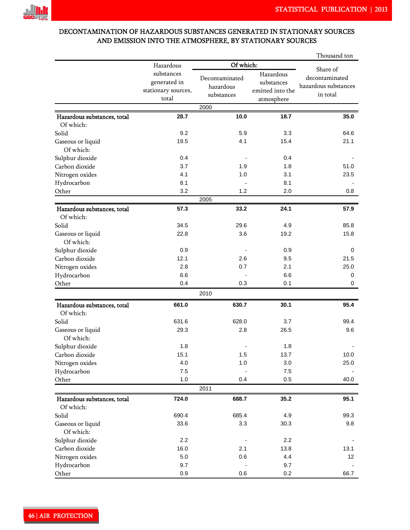

# DECONTAMINATION OF HAZARDOUS SUBSTANCES GENERATED IN STATIONARY SOURCES AND EMISSION INTO THE ATMOSPHERE, BY STATIONARY SOURCES

|                                          |                                                   |                                           | Thousand ton                                |                                                                |  |  |  |  |  |
|------------------------------------------|---------------------------------------------------|-------------------------------------------|---------------------------------------------|----------------------------------------------------------------|--|--|--|--|--|
|                                          | Hazardous                                         |                                           | Of which:                                   |                                                                |  |  |  |  |  |
|                                          | substances<br>generated in<br>stationary sources, | Decontaminated<br>hazardous<br>substances | Hazardous<br>substances<br>emitted into the | Share of<br>decontaminated<br>hazardous substances<br>in total |  |  |  |  |  |
|                                          | total                                             |                                           | atmosphere                                  |                                                                |  |  |  |  |  |
|                                          |                                                   | 2000                                      |                                             |                                                                |  |  |  |  |  |
| Hazardous substances, total<br>Of which: | 28.7                                              | 10.0                                      | 18.7                                        | 35.0                                                           |  |  |  |  |  |
| Solid                                    | 9.2                                               | 5.9                                       | 3.3                                         | 64.6                                                           |  |  |  |  |  |
| Gaseous or liquid<br>Of which:           | 19.5                                              | 4.1                                       | 15.4                                        | 21.1                                                           |  |  |  |  |  |
| Sulphur dioxide                          | 0.4                                               |                                           | 0.4                                         |                                                                |  |  |  |  |  |
| Carbon dioxide                           | 3.7                                               | 1.9                                       | 1.8                                         | 51.0                                                           |  |  |  |  |  |
| Nitrogen oxides                          | 4.1                                               | 1.0                                       | 3.1                                         | 23.5                                                           |  |  |  |  |  |
| Hydrocarbon                              | 8.1                                               |                                           | 8.1                                         |                                                                |  |  |  |  |  |
| Other                                    | 3.2                                               | 1.2                                       | 2.0                                         | 0.8                                                            |  |  |  |  |  |
|                                          |                                                   | 2005                                      |                                             |                                                                |  |  |  |  |  |
| Hazardous substances, total              | 57.3                                              | 33.2                                      | 24.1                                        | 57.9                                                           |  |  |  |  |  |
| Of which:                                |                                                   |                                           |                                             |                                                                |  |  |  |  |  |
| Solid                                    | 34.5                                              | 29.6                                      | 4.9                                         | 85.8                                                           |  |  |  |  |  |
| Gaseous or liquid<br>Of which:           | 22.8                                              | 3.6                                       | 19.2                                        | 15.8                                                           |  |  |  |  |  |
| Sulphur dioxide                          | 0.9                                               |                                           | 0.9                                         | 0                                                              |  |  |  |  |  |
| Carbon dioxide                           | 12.1                                              | 2.6                                       | 9.5                                         | 21.5                                                           |  |  |  |  |  |
| Nitrogen oxides                          | 2.8                                               | 0.7                                       | 2.1                                         | 25.0                                                           |  |  |  |  |  |
| Hydrocarbon                              | 6.6                                               |                                           | 6.6                                         | 0                                                              |  |  |  |  |  |
| Other                                    | 0.4                                               | 0.3                                       | 0.1                                         | 0                                                              |  |  |  |  |  |
|                                          |                                                   | 2010                                      |                                             |                                                                |  |  |  |  |  |
| Hazardous substances, total              | 661.0                                             | 630.7                                     | 30.1                                        | 95.4                                                           |  |  |  |  |  |
| Of which:                                |                                                   |                                           |                                             |                                                                |  |  |  |  |  |
| Solid                                    | 631.6                                             | 628.0                                     | 3.7                                         | 99.4                                                           |  |  |  |  |  |
| Gaseous or liquid<br>Of which:           | 29.3                                              | 2.8                                       | 26.5                                        | 9.6                                                            |  |  |  |  |  |
| Sulphur dioxide                          | 1.8                                               |                                           | 1.8                                         |                                                                |  |  |  |  |  |
| Carbon dioxide                           | 15.1                                              | 1.5                                       | 13.7                                        | 10.0                                                           |  |  |  |  |  |
| Nitrogen oxides                          | 4.0                                               | 1.0                                       | 3.0                                         | 25.0                                                           |  |  |  |  |  |
| Hydrocarbon                              | 7.5                                               |                                           | $7.5\,$                                     |                                                                |  |  |  |  |  |
| Other                                    | $1.0$                                             | 0.4                                       | 0.5                                         | 40.0                                                           |  |  |  |  |  |
|                                          |                                                   | 2011                                      |                                             |                                                                |  |  |  |  |  |
| Hazardous substances, total<br>Of which: | 724.0                                             | 688.7                                     | 35.2                                        | 95.1                                                           |  |  |  |  |  |
| Solid                                    | 690.4                                             | 685.4                                     | 4.9                                         | 99.3                                                           |  |  |  |  |  |
| Gaseous or liquid                        | 33.6                                              | 3.3                                       | 30.3                                        | 9.8                                                            |  |  |  |  |  |
| Of which:                                |                                                   |                                           |                                             |                                                                |  |  |  |  |  |
| Sulphur dioxide                          | 2.2                                               |                                           | 2.2                                         |                                                                |  |  |  |  |  |
| Carbon dioxide                           | 16.0                                              | 2.1                                       | 13.8                                        | 13.1                                                           |  |  |  |  |  |
| Nitrogen oxides                          | $5.0\,$                                           | 0.6                                       | 4.4                                         | 12                                                             |  |  |  |  |  |
| Hydrocarbon                              | 9.7                                               |                                           | 9.7                                         |                                                                |  |  |  |  |  |
| Other                                    | 0.9                                               | 0.6                                       | 0.2                                         | 66.7                                                           |  |  |  |  |  |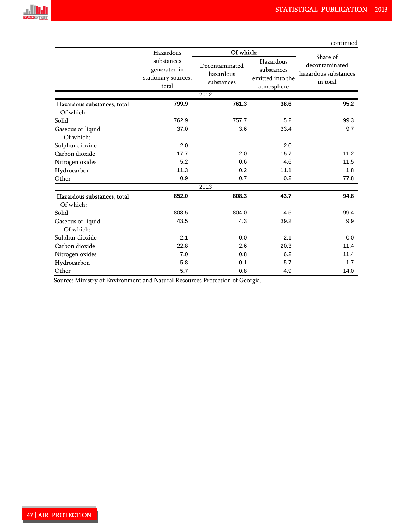

|                             |                                                            |                                           |                                                           | continued                                                      |  |  |  |  |
|-----------------------------|------------------------------------------------------------|-------------------------------------------|-----------------------------------------------------------|----------------------------------------------------------------|--|--|--|--|
|                             | Hazardous                                                  | Of which:                                 |                                                           |                                                                |  |  |  |  |
|                             | substances<br>generated in<br>stationary sources,<br>total | Decontaminated<br>hazardous<br>substances | Hazardous<br>substances<br>emitted into the<br>atmosphere | Share of<br>decontaminated<br>hazardous substances<br>in total |  |  |  |  |
|                             |                                                            | 2012                                      |                                                           |                                                                |  |  |  |  |
| Hazardous substances, total | 799.9                                                      | 761.3                                     | 38.6                                                      | 95.2                                                           |  |  |  |  |
| Of which:                   |                                                            |                                           |                                                           |                                                                |  |  |  |  |
| Solid                       | 762.9                                                      | 757.7                                     | 5.2                                                       | 99.3                                                           |  |  |  |  |
| Gaseous or liquid           | 37.0                                                       | 3.6                                       | 33.4                                                      | 9.7                                                            |  |  |  |  |
| Of which:                   |                                                            |                                           |                                                           |                                                                |  |  |  |  |
| Sulphur dioxide             | 2.0                                                        |                                           | 2.0                                                       |                                                                |  |  |  |  |
| Carbon dioxide              | 17.7                                                       | 2.0                                       | 15.7                                                      | 11.2                                                           |  |  |  |  |
| Nitrogen oxides             | 5.2                                                        | 0.6                                       | 4.6                                                       | 11.5                                                           |  |  |  |  |
| Hydrocarbon                 | 11.3                                                       | 0.2                                       | 11.1                                                      | 1.8                                                            |  |  |  |  |
| Other                       | 0.9                                                        | 0.7                                       | 0.2                                                       | 77.8                                                           |  |  |  |  |
|                             |                                                            | 2013                                      |                                                           |                                                                |  |  |  |  |
| Hazardous substances, total | 852.0                                                      | 808.3                                     | 43.7                                                      | 94.8                                                           |  |  |  |  |
| Of which:                   |                                                            |                                           |                                                           |                                                                |  |  |  |  |
| Solid                       | 808.5                                                      | 804.0                                     | 4.5                                                       | 99.4                                                           |  |  |  |  |
| Gaseous or liquid           | 43.5                                                       | 4.3                                       | 39.2                                                      | 9.9                                                            |  |  |  |  |
| Of which:                   |                                                            |                                           |                                                           |                                                                |  |  |  |  |
| Sulphur dioxide             | 2.1                                                        | 0.0                                       | 2.1                                                       | 0.0                                                            |  |  |  |  |
| Carbon dioxide              | 22.8                                                       | 2.6                                       | 20.3                                                      | 11.4                                                           |  |  |  |  |
| Nitrogen oxides             | 7.0                                                        | 0.8                                       | 6.2                                                       | 11.4                                                           |  |  |  |  |
| Hydrocarbon                 | 5.8                                                        | 0.1                                       | 5.7                                                       | 1.7                                                            |  |  |  |  |
| Other                       | 5.7                                                        | 0.8                                       | 4.9                                                       | 14.0                                                           |  |  |  |  |

Source: Ministry of Environment and Natural Resources Protection of Georgia.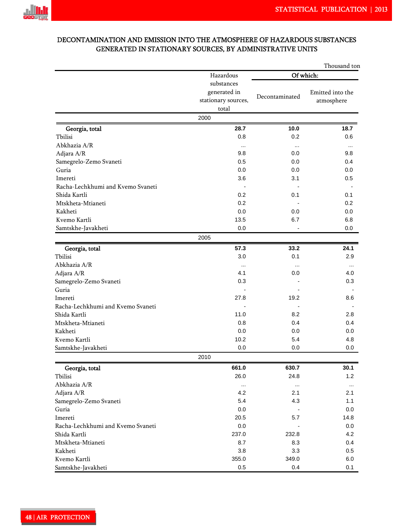

# DECONTAMINATION AND EMISSION INTO THE ATMOSPHERE OF HAZARDOUS SUBSTANCES GENERATED IN STATIONARY SOURCES, BY ADMINISTRATIVE UNITS

|                                   |                                                            |                | Thousand ton                   |  |  |  |
|-----------------------------------|------------------------------------------------------------|----------------|--------------------------------|--|--|--|
|                                   | Hazardous                                                  | Of which:      |                                |  |  |  |
|                                   | substances<br>generated in<br>stationary sources,<br>total | Decontaminated | Emitted into the<br>atmosphere |  |  |  |
|                                   | 2000                                                       |                |                                |  |  |  |
| Georgia, total                    | 28.7                                                       | 10.0           | 18.7                           |  |  |  |
| Tbilisi                           | 0.8                                                        | 0.2            | 0.6                            |  |  |  |
| Abkhazia A/R                      | $\cdots$                                                   | $\cdots$       | $\cdots$                       |  |  |  |
| Adjara A/R                        | 9.8                                                        | 0.0            | 9.8                            |  |  |  |
| Samegrelo-Zemo Svaneti            | 0.5                                                        | 0.0            | 0.4                            |  |  |  |
| Guria                             | 0.0                                                        | 0.0            | 0.0                            |  |  |  |
| Imereti                           | 3.6                                                        | 3.1            | 0.5                            |  |  |  |
| Racha-Lechkhumi and Kvemo Svaneti |                                                            |                |                                |  |  |  |
| Shida Kartli                      | 0.2                                                        | 0.1            | 0.1                            |  |  |  |
| Mtskheta-Mtianeti                 | 0.2                                                        |                | 0.2                            |  |  |  |
| Kakheti                           | 0.0                                                        | 0.0            | 0.0                            |  |  |  |
| Kvemo Kartli                      | 13.5                                                       | 6.7            | 6.8                            |  |  |  |
| Samtskhe-Javakheti                | 0.0                                                        |                | 0.0                            |  |  |  |
|                                   | 2005                                                       |                |                                |  |  |  |
| Georgia, total                    | 57.3                                                       | 33.2           | 24.1                           |  |  |  |
| Tbilisi                           | 3.0                                                        | 0.1            | 2.9                            |  |  |  |
| Abkhazia A/R                      | $\cdots$                                                   |                | $\ddotsc$                      |  |  |  |
| Adjara A/R                        | 4.1                                                        | 0.0            | 4.0                            |  |  |  |
| Samegrelo-Zemo Svaneti            | 0.3                                                        |                | 0.3                            |  |  |  |
| Guria                             |                                                            |                |                                |  |  |  |
| Imereti                           | 27.8                                                       | 19.2           | 8.6                            |  |  |  |
| Racha-Lechkhumi and Kvemo Svaneti |                                                            |                |                                |  |  |  |
| Shida Kartli                      | 11.0                                                       | 8.2            | 2.8                            |  |  |  |
| Mtskheta-Mtianeti                 | 0.8                                                        | 0.4            | 0.4                            |  |  |  |
| Kakheti                           | 0.0                                                        | 0.0            | 0.0                            |  |  |  |
| Kvemo Kartli                      | 10.2                                                       | 5.4            | 4.8                            |  |  |  |
| Samtskhe-Javakheti                | 0.0                                                        | 0.0            | 0.0                            |  |  |  |
|                                   | 2010                                                       |                |                                |  |  |  |
| Georgia, total                    | 661.0                                                      | 630.7          | 30.1                           |  |  |  |
| Tbilisi                           | 26.0                                                       | 24.8           | 1.2                            |  |  |  |
| Abkhazia A/R                      | $\cdots$                                                   | $\cdots$       | $\cdots$                       |  |  |  |
| Adjara A/R                        | 4.2                                                        | 2.1            | 2.1                            |  |  |  |
| Samegrelo-Zemo Svaneti            | 5.4                                                        | 4.3            | 1.1                            |  |  |  |
| Guria                             | 0.0                                                        |                | 0.0                            |  |  |  |
| Imereti                           | 20.5                                                       | 5.7            | 14.8                           |  |  |  |
| Racha-Lechkhumi and Kvemo Svaneti | 0.0                                                        |                | 0.0                            |  |  |  |
| Shida Kartli                      | 237.0                                                      | 232.8          | 4.2                            |  |  |  |
| Mtskheta-Mtianeti                 | 8.7                                                        | 8.3            | 0.4                            |  |  |  |
| Kakheti                           | 3.8                                                        | 3.3            | 0.5                            |  |  |  |
| Kvemo Kartli                      | 355.0                                                      | 349.0          | 6.0                            |  |  |  |
| Samtskhe-Javakheti                | 0.5                                                        | 0.4            | 0.1                            |  |  |  |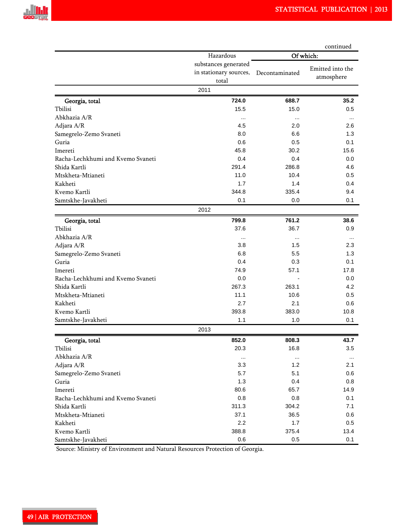|                                   |                                                         | continued      |                                |  |  |  |
|-----------------------------------|---------------------------------------------------------|----------------|--------------------------------|--|--|--|
|                                   | Hazardous                                               | Of which:      |                                |  |  |  |
|                                   | substances generated<br>in stationary sources,<br>total | Decontaminated | Emitted into the<br>atmosphere |  |  |  |
|                                   | 2011                                                    |                |                                |  |  |  |
| Georgia, total                    | 724.0                                                   | 688.7          | 35.2                           |  |  |  |
| Tbilisi                           | 15.5                                                    | 15.0           | 0.5                            |  |  |  |
| Abkhazia A/R                      | $\cdots$                                                | $\cdots$       |                                |  |  |  |
| Adjara A/R                        | 4.5                                                     | 2.0            | 2.6                            |  |  |  |
| Samegrelo-Zemo Svaneti            | 8.0                                                     | 6.6            | 1.3                            |  |  |  |
| Guria                             | 0.6                                                     | 0.5            | 0.1                            |  |  |  |
| Imereti                           | 45.8                                                    | 30.2           | 15.6                           |  |  |  |
| Racha-Lechkhumi and Kvemo Svaneti | 0.4                                                     | 0.4            | 0.0                            |  |  |  |
| Shida Kartli                      | 291.4                                                   | 286.8          | 4.6                            |  |  |  |
| Mtskheta-Mtianeti                 | 11.0                                                    | 10.4           | 0.5                            |  |  |  |
| Kakheti                           | 1.7                                                     | 1.4            | 0.4                            |  |  |  |
| Kvemo Kartli                      | 344.8                                                   | 335.4          | 9.4                            |  |  |  |
| Samtskhe-Javakheti                | 0.1                                                     | 0.0            | 0.1                            |  |  |  |
|                                   | 2012                                                    |                |                                |  |  |  |
| Georgia, total                    | 799.8                                                   | 761.2          | 38.6                           |  |  |  |
| Tbilisi                           | 37.6                                                    | 36.7           | 0.9                            |  |  |  |
| Abkhazia A/R                      | $\cdots$                                                | $\cdots$       | $\cdots$                       |  |  |  |
| Adjara A/R                        | 3.8                                                     | 1.5            | 2.3                            |  |  |  |
| Samegrelo-Zemo Svaneti            | 6.8                                                     | 5.5            | 1.3                            |  |  |  |
| Guria                             | 0.4                                                     | 0.3            | 0.1                            |  |  |  |
| Imereti                           | 74.9                                                    | 57.1           | 17.8                           |  |  |  |
| Racha-Lechkhumi and Kvemo Svaneti | 0.0                                                     |                | 0.0                            |  |  |  |
| Shida Kartli                      | 267.3                                                   | 263.1          | 4.2                            |  |  |  |
| Mtskheta-Mtianeti                 | 11.1                                                    | 10.6           | 0.5                            |  |  |  |
| Kakheti                           | 2.7                                                     | 2.1            | 0.6                            |  |  |  |
| Kvemo Kartli                      | 393.8                                                   | 383.0          | 10.8                           |  |  |  |
| Samtskhe-Javakheti                | 1.1                                                     | 1.0            | 0.1                            |  |  |  |
|                                   | 2013                                                    |                |                                |  |  |  |
| Georgia, total                    | 852.0                                                   | 808.3          | 43.7                           |  |  |  |
| Tbilisi                           | 20.3                                                    | 16.8           | 3.5                            |  |  |  |
| Abkhazia A/R                      | $\cdots$                                                | $\ldots$       | $\cdots$                       |  |  |  |
| Adjara A/R                        | 3.3                                                     | 1.2            | 2.1                            |  |  |  |
| Samegrelo-Zemo Svaneti            | 5.7                                                     | 5.1            | 0.6                            |  |  |  |
| Guria                             | 1.3                                                     | 0.4            | 0.8                            |  |  |  |
| Imereti                           | 80.6                                                    | 65.7           | 14.9                           |  |  |  |
| Racha-Lechkhumi and Kvemo Svaneti | 0.8                                                     | 0.8            | 0.1                            |  |  |  |
| Shida Kartli                      | 311.3                                                   | 304.2          | 7.1                            |  |  |  |
| Mtskheta-Mtianeti                 | 37.1                                                    | 36.5           | 0.6                            |  |  |  |
| Kakheti                           | 2.2                                                     | 1.7            | 0.5                            |  |  |  |
| Kvemo Kartli                      | 388.8                                                   | 375.4          | 13.4                           |  |  |  |
| Samtskhe-Javakheti                | 0.6                                                     | 0.5            | 0.1                            |  |  |  |

Source: Ministry of Environment and Natural Resources Protection of Georgia.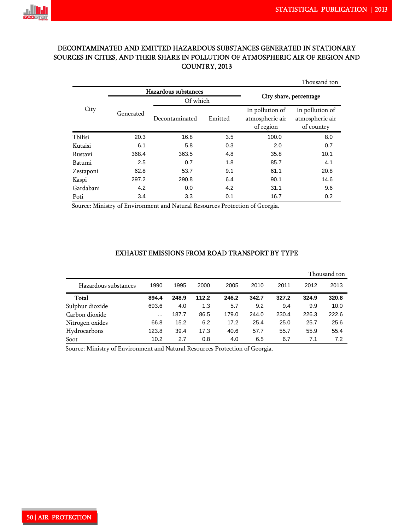

# DECONTAMINATED AND EMITTED HAZARDOUS SUBSTANCES GENERATED IN STATIONARY SOURCES IN CITIES, AND THEIR SHARE IN POLLUTION OF ATMOSPHERIC AIR OF REGION AND COUNTRY, 2013

|           |           |                      |         |                        | Thousand ton                                     |  |  |  |  |
|-----------|-----------|----------------------|---------|------------------------|--------------------------------------------------|--|--|--|--|
|           |           | Hazardous substances |         |                        |                                                  |  |  |  |  |
|           |           | Of which             |         | City share, percentage |                                                  |  |  |  |  |
| City      | Generated | Decontaminated       | Emitted |                        | In pollution of<br>atmospheric air<br>of country |  |  |  |  |
| Tbilisi   | 20.3      | 16.8                 | 3.5     | 100.0                  | 8.0                                              |  |  |  |  |
| Kutaisi   | 6.1       | 5.8                  | 0.3     | 2.0                    | 0.7                                              |  |  |  |  |
| Rustavi   | 368.4     | 363.5                | 4.8     | 35.8                   | 10.1                                             |  |  |  |  |
| Batumi    | 2.5       | 0.7                  | 1.8     | 85.7                   | 4.1                                              |  |  |  |  |
| Zestaponi | 62.8      | 53.7                 | 9.1     | 61.1                   | 20.8                                             |  |  |  |  |
| Kaspi     | 297.2     | 290.8                | 6.4     | 90.1                   | 14.6                                             |  |  |  |  |
| Gardabani | 4.2       | 0.0                  | 4.2     | 31.1                   | 9.6                                              |  |  |  |  |
| Poti      | 3.4       | 3.3                  | 0.1     | 16.7                   | 0.2                                              |  |  |  |  |

Source: Ministry of Environment and Natural Resources Protection of Georgia.

#### EXHAUST EMISSIONS FROM ROAD TRANSPORT BY TYPE

|                      |          |       |       |       | Thousand ton |       |       |       |  |  |
|----------------------|----------|-------|-------|-------|--------------|-------|-------|-------|--|--|
| Hazardous substances | 1990     | 1995  | 2000  | 2005  | 2010         | 2011  | 2012  | 2013  |  |  |
| Total                | 894.4    | 248.9 | 112.2 | 246.2 | 342.7        | 327.2 | 324.9 | 320.8 |  |  |
| Sulphur dioxide      | 693.6    | 4.0   | 1.3   | 5.7   | 9.2          | 9.4   | 9.9   | 10.0  |  |  |
| Carbon dioxide       | $\cdots$ | 187.7 | 86.5  | 179.0 | 244.0        | 230.4 | 226.3 | 222.6 |  |  |
| Nitrogen oxides      | 66.8     | 15.2  | 6.2   | 17.2  | 25.4         | 25.0  | 25.7  | 25.6  |  |  |
| Hydrocarbons         | 123.8    | 39.4  | 17.3  | 40.6  | 57.7         | 55.7  | 55.9  | 55.4  |  |  |
| Soot                 | 10.2     | 2.7   | 0.8   | 4.0   | 6.5          | 6.7   | 7.1   | 7.2   |  |  |

Source: Ministry of Environment and Natural Resources Protection of Georgia.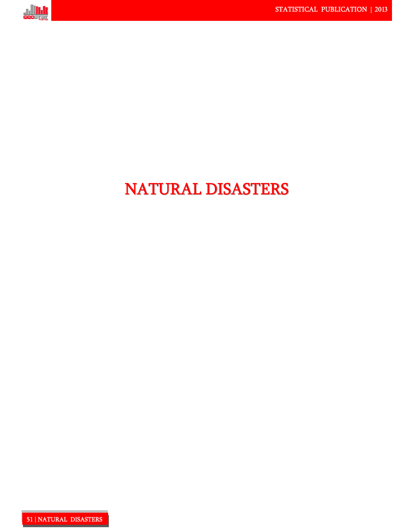

# NATURAL DISASTERS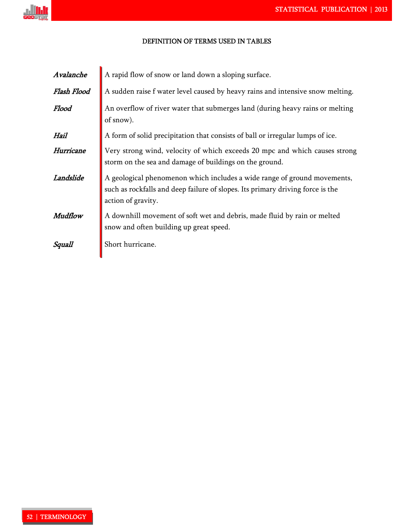

### DEFINITION OF TERMS USED IN TABLES!

| Avalanche   | A rapid flow of snow or land down a sloping surface.                                                                                                                             |
|-------------|----------------------------------------------------------------------------------------------------------------------------------------------------------------------------------|
| Flash Flood | A sudden raise f water level caused by heavy rains and intensive snow melting.                                                                                                   |
| Flood       | An overflow of river water that submerges land (during heavy rains or melting<br>of snow).                                                                                       |
| Hail        | A form of solid precipitation that consists of ball or irregular lumps of ice.                                                                                                   |
| Hurricane   | Very strong wind, velocity of which exceeds 20 mpc and which causes strong<br>storm on the sea and damage of buildings on the ground.                                            |
| Landslide   | A geological phenomenon which includes a wide range of ground movements,<br>such as rockfalls and deep failure of slopes. Its primary driving force is the<br>action of gravity. |
| Mudflow     | A downhill movement of soft wet and debris, made fluid by rain or melted<br>snow and often building up great speed.                                                              |
| Squall      | Short hurricane.                                                                                                                                                                 |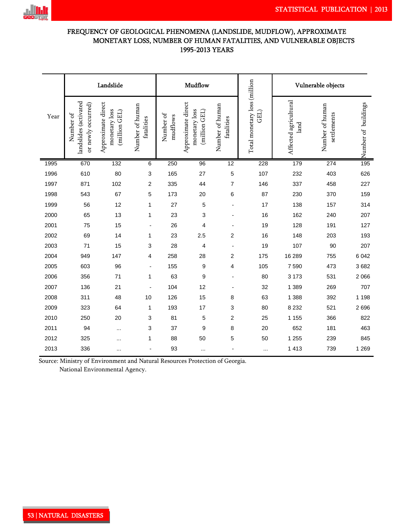

# FREQUENCY OF GEOLOGICAL PHENOMENA (LANDSLIDE, MUDFLOW), APPROXIMATE MONETARY LOSS, NUMBER OF HUMAN FATALITIES, AND VULNERABLE OBJECTS 1995-2013 YEARS

|      | Landslide                                                |                                                      |                               |                       | Mudflow                                              |                               |                                      | Vulnerable objects            |                                |                     |  |  |
|------|----------------------------------------------------------|------------------------------------------------------|-------------------------------|-----------------------|------------------------------------------------------|-------------------------------|--------------------------------------|-------------------------------|--------------------------------|---------------------|--|--|
| Year | landslides (activated<br>or newly occurred)<br>Number of | Approximate direct<br>monetary loss<br>(million GEL) | Number of human<br>fatalities | Number of<br>mudflows | Approximate direct<br>monetary loss<br>(million GEL) | Number of human<br>fatalities | Total monetary loss (million<br>GEL) | Affected agricultural<br>land | Number of human<br>settlements | Number of buildings |  |  |
| 1995 | 670                                                      | 132                                                  | 6                             | 250                   | 96                                                   | $\overline{12}$               | 228                                  | 179                           | 274                            | 195                 |  |  |
| 1996 | 610                                                      | 80                                                   | $\ensuremath{\mathsf{3}}$     | 165                   | 27                                                   | 5                             | 107                                  | 232                           | 403                            | 626                 |  |  |
| 1997 | 871                                                      | 102                                                  | 2                             | 335                   | 44                                                   | $\overline{7}$                | 146                                  | 337                           | 458                            | 227                 |  |  |
| 1998 | 543                                                      | 67                                                   | 5                             | 173                   | 20                                                   | 6                             | 87                                   | 230                           | 370                            | 159                 |  |  |
| 1999 | 56                                                       | 12                                                   | 1                             | 27                    | 5                                                    |                               | 17                                   | 138                           | 157                            | 314                 |  |  |
| 2000 | 65                                                       | 13                                                   | $\mathbf{1}$                  | 23                    | 3                                                    |                               | 16                                   | 162                           | 240                            | 207                 |  |  |
| 2001 | 75                                                       | 15                                                   | $\overline{\phantom{a}}$      | 26                    | 4                                                    | $\overline{a}$                | 19                                   | 128                           | 191                            | 127                 |  |  |
| 2002 | 69                                                       | 14                                                   | 1                             | 23                    | 2.5                                                  | 2                             | 16                                   | 148                           | 203                            | 193                 |  |  |
| 2003 | 71                                                       | 15                                                   | 3                             | 28                    | 4                                                    |                               | 19                                   | 107                           | 90                             | 207                 |  |  |
| 2004 | 949                                                      | 147                                                  | 4                             | 258                   | 28                                                   | 2                             | 175                                  | 16 289                        | 755                            | 6 0 4 2             |  |  |
| 2005 | 603                                                      | 96                                                   | $\overline{a}$                | 155                   | $\boldsymbol{9}$                                     | 4                             | 105                                  | 7590                          | 473                            | 3682                |  |  |
| 2006 | 356                                                      | 71                                                   | 1                             | 63                    | 9                                                    | ÷                             | 80                                   | 3 1 7 3                       | 531                            | 2 0 6 6             |  |  |
| 2007 | 136                                                      | 21                                                   |                               | 104                   | 12                                                   |                               | 32                                   | 1 3 8 9                       | 269                            | 707                 |  |  |
| 2008 | 311                                                      | 48                                                   | 10                            | 126                   | 15                                                   | 8                             | 63                                   | 1 3 8 8                       | 392                            | 1 1 9 8             |  |  |
| 2009 | 323                                                      | 64                                                   | 1                             | 193                   | 17                                                   | 3                             | 80                                   | 8 2 3 2                       | 521                            | 2696                |  |  |
| 2010 | 250                                                      | 20                                                   | 3                             | 81                    | 5                                                    | 2                             | 25                                   | 1 1 5 5                       | 366                            | 822                 |  |  |
| 2011 | 94                                                       | $\cdots$                                             | 3                             | 37                    | 9                                                    | 8                             | 20                                   | 652                           | 181                            | 463                 |  |  |
| 2012 | 325                                                      |                                                      | 1                             | 88                    | 50                                                   | 5                             | 50                                   | 1 2 5 5                       | 239                            | 845                 |  |  |
| 2013 | 336                                                      |                                                      |                               | 93                    | $\cdots$                                             |                               | $\cdots$                             | 1 4 1 3                       | 739                            | 1 2 6 9             |  |  |

Source: Ministry of Environment and Natural Resources Protection of Georgia. National Environmental Agency.